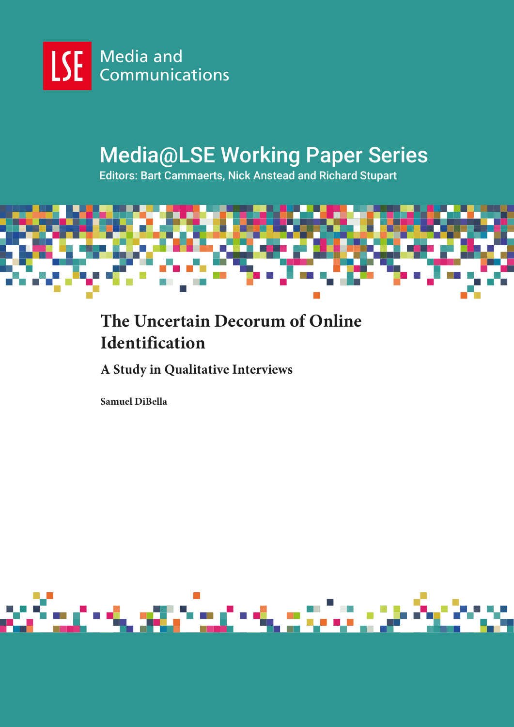

# Media@LSE Working Paper Series

Editors: Bart Cammaerts, Nick Anstead and Richard Stupart



## **The Uncertain Decorum of Online Identification**

**A Study in Qualitative Interviews**

**Samuel DiBella**

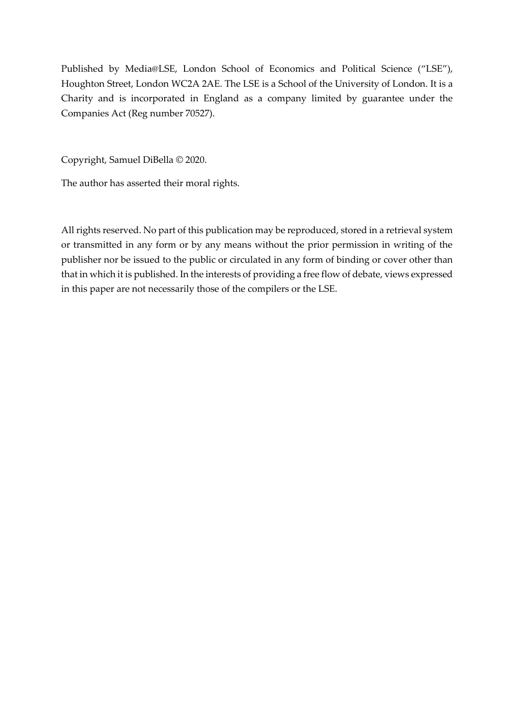Published by Media@LSE, London School of Economics and Political Science ("LSE"), Houghton Street, London WC2A 2AE. The LSE is a School of the University of London. It is a Charity and is incorporated in England as a company limited by guarantee under the Companies Act (Reg number 70527).

Copyright, Samuel DiBella © 2020.

The author has asserted their moral rights.

All rights reserved. No part of this publication may be reproduced, stored in a retrieval system or transmitted in any form or by any means without the prior permission in writing of the publisher nor be issued to the public or circulated in any form of binding or cover other than that in which it is published. In the interests of providing a free flow of debate, views expressed in this paper are not necessarily those of the compilers or the LSE.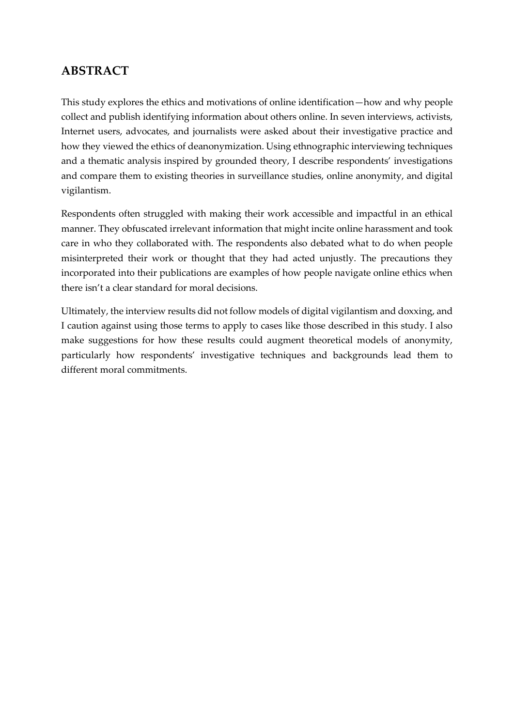#### **ABSTRACT**

This study explores the ethics and motivations of online identification—how and why people collect and publish identifying information about others online. In seven interviews, activists, Internet users, advocates, and journalists were asked about their investigative practice and how they viewed the ethics of deanonymization. Using ethnographic interviewing techniques and a thematic analysis inspired by grounded theory, I describe respondents' investigations and compare them to existing theories in surveillance studies, online anonymity, and digital vigilantism.

Respondents often struggled with making their work accessible and impactful in an ethical manner. They obfuscated irrelevant information that might incite online harassment and took care in who they collaborated with. The respondents also debated what to do when people misinterpreted their work or thought that they had acted unjustly. The precautions they incorporated into their publications are examples of how people navigate online ethics when there isn't a clear standard for moral decisions.

Ultimately, the interview results did not follow models of digital vigilantism and doxxing, and I caution against using those terms to apply to cases like those described in this study. I also make suggestions for how these results could augment theoretical models of anonymity, particularly how respondents' investigative techniques and backgrounds lead them to different moral commitments.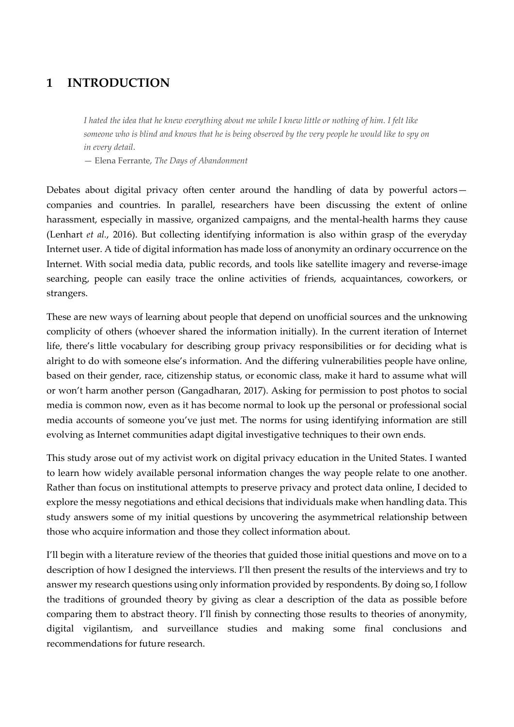#### **1 INTRODUCTION**

*I hated the idea that he knew everything about me while I knew little or nothing of him. I felt like someone who is blind and knows that he is being observed by the very people he would like to spy on in every detail*.

— Elena Ferrante, *The Days of Abandonment*

Debates about digital privacy often center around the handling of data by powerful actors companies and countries. In parallel, researchers have been discussing the extent of online harassment, especially in massive, organized campaigns, and the mental-health harms they cause (Lenhart *et al.*, 2016). But collecting identifying information is also within grasp of the everyday Internet user. A tide of digital information has made loss of anonymity an ordinary occurrence on the Internet. With social media data, public records, and tools like satellite imagery and reverse-image searching, people can easily trace the online activities of friends, acquaintances, coworkers, or strangers.

These are new ways of learning about people that depend on unofficial sources and the unknowing complicity of others (whoever shared the information initially). In the current iteration of Internet life, there's little vocabulary for describing group privacy responsibilities or for deciding what is alright to do with someone else's information. And the differing vulnerabilities people have online, based on their gender, race, citizenship status, or economic class, make it hard to assume what will or won't harm another person (Gangadharan, 2017). Asking for permission to post photos to social media is common now, even as it has become normal to look up the personal or professional social media accounts of someone you've just met. The norms for using identifying information are still evolving as Internet communities adapt digital investigative techniques to their own ends.

This study arose out of my activist work on digital privacy education in the United States. I wanted to learn how widely available personal information changes the way people relate to one another. Rather than focus on institutional attempts to preserve privacy and protect data online, I decided to explore the messy negotiations and ethical decisions that individuals make when handling data. This study answers some of my initial questions by uncovering the asymmetrical relationship between those who acquire information and those they collect information about.

I'll begin with a literature review of the theories that guided those initial questions and move on to a description of how I designed the interviews. I'll then present the results of the interviews and try to answer my research questions using only information provided by respondents. By doing so, I follow the traditions of grounded theory by giving as clear a description of the data as possible before comparing them to abstract theory. I'll finish by connecting those results to theories of anonymity, digital vigilantism, and surveillance studies and making some final conclusions and recommendations for future research.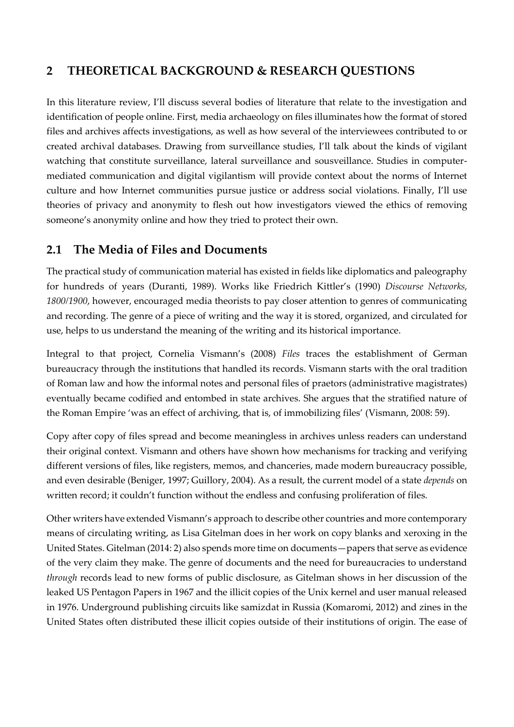## **2 THEORETICAL BACKGROUND & RESEARCH QUESTIONS**

In this literature review, I'll discuss several bodies of literature that relate to the investigation and identification of people online. First, media archaeology on files illuminates how the format of stored files and archives affects investigations, as well as how several of the interviewees contributed to or created archival databases. Drawing from surveillance studies, I'll talk about the kinds of vigilant watching that constitute surveillance, lateral surveillance and sousveillance. Studies in computermediated communication and digital vigilantism will provide context about the norms of Internet culture and how Internet communities pursue justice or address social violations. Finally, I'll use theories of privacy and anonymity to flesh out how investigators viewed the ethics of removing someone's anonymity online and how they tried to protect their own.

#### **2.1 The Media of Files and Documents**

The practical study of communication material has existed in fields like diplomatics and paleography for hundreds of years (Duranti, 1989). Works like Friedrich Kittler's (1990) *Discourse Networks, 1800/1900*, however, encouraged media theorists to pay closer attention to genres of communicating and recording. The genre of a piece of writing and the way it is stored, organized, and circulated for use, helps to us understand the meaning of the writing and its historical importance.

Integral to that project, Cornelia Vismann's (2008) *Files* traces the establishment of German bureaucracy through the institutions that handled its records. Vismann starts with the oral tradition of Roman law and how the informal notes and personal files of praetors (administrative magistrates) eventually became codified and entombed in state archives. She argues that the stratified nature of the Roman Empire 'was an effect of archiving, that is, of immobilizing files' (Vismann, 2008: 59).

Copy after copy of files spread and become meaningless in archives unless readers can understand their original context. Vismann and others have shown how mechanisms for tracking and verifying different versions of files, like registers, memos, and chanceries, made modern bureaucracy possible, and even desirable (Beniger, 1997; Guillory, 2004). As a result, the current model of a state *depends* on written record; it couldn't function without the endless and confusing proliferation of files.

Other writers have extended Vismann's approach to describe other countries and more contemporary means of circulating writing, as Lisa Gitelman does in her work on copy blanks and xeroxing in the United States. Gitelman (2014: 2) also spends more time on documents—papers that serve as evidence of the very claim they make. The genre of documents and the need for bureaucracies to understand *through* records lead to new forms of public disclosure, as Gitelman shows in her discussion of the leaked US Pentagon Papers in 1967 and the illicit copies of the Unix kernel and user manual released in 1976. Underground publishing circuits like samizdat in Russia (Komaromi, 2012) and zines in the United States often distributed these illicit copies outside of their institutions of origin. The ease of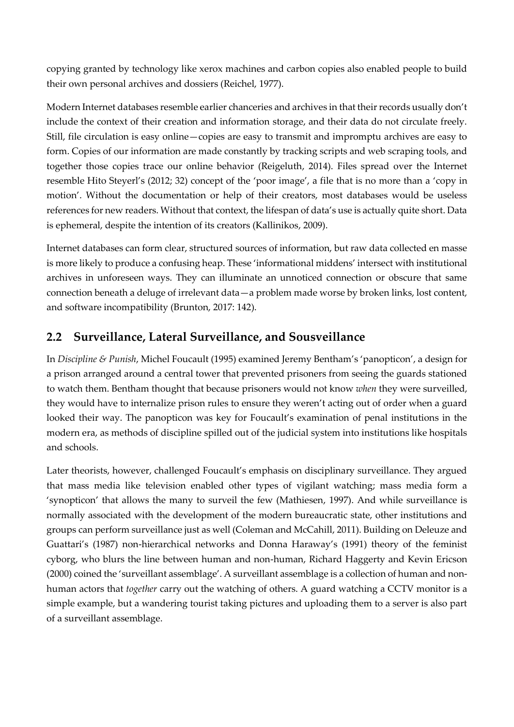copying granted by technology like xerox machines and carbon copies also enabled people to build their own personal archives and dossiers (Reichel, 1977).

Modern Internet databases resemble earlier chanceries and archives in that their records usually don't include the context of their creation and information storage, and their data do not circulate freely. Still, file circulation is easy online—copies are easy to transmit and impromptu archives are easy to form. Copies of our information are made constantly by tracking scripts and web scraping tools, and together those copies trace our online behavior (Reigeluth, 2014). Files spread over the Internet resemble Hito Steyerl's (2012; 32) concept of the 'poor image', a file that is no more than a 'copy in motion'. Without the documentation or help of their creators, most databases would be useless references for new readers. Without that context, the lifespan of data's use is actually quite short. Data is ephemeral, despite the intention of its creators (Kallinikos, 2009).

Internet databases can form clear, structured sources of information, but raw data collected en masse is more likely to produce a confusing heap. These 'informational middens' intersect with institutional archives in unforeseen ways. They can illuminate an unnoticed connection or obscure that same connection beneath a deluge of irrelevant data—a problem made worse by broken links, lost content, and software incompatibility (Brunton, 2017: 142).

## **2.2 Surveillance, Lateral Surveillance, and Sousveillance**

In *Discipline & Punish*, Michel Foucault (1995) examined Jeremy Bentham's 'panopticon', a design for a prison arranged around a central tower that prevented prisoners from seeing the guards stationed to watch them. Bentham thought that because prisoners would not know *when* they were surveilled, they would have to internalize prison rules to ensure they weren't acting out of order when a guard looked their way. The panopticon was key for Foucault's examination of penal institutions in the modern era, as methods of discipline spilled out of the judicial system into institutions like hospitals and schools.

Later theorists, however, challenged Foucault's emphasis on disciplinary surveillance. They argued that mass media like television enabled other types of vigilant watching; mass media form a 'synopticon' that allows the many to surveil the few (Mathiesen, 1997). And while surveillance is normally associated with the development of the modern bureaucratic state, other institutions and groups can perform surveillance just as well (Coleman and McCahill, 2011). Building on Deleuze and Guattari's (1987) non-hierarchical networks and Donna Haraway's (1991) theory of the feminist cyborg, who blurs the line between human and non-human, Richard Haggerty and Kevin Ericson (2000) coined the 'surveillant assemblage'. A surveillant assemblage is a collection of human and nonhuman actors that *together* carry out the watching of others. A guard watching a CCTV monitor is a simple example, but a wandering tourist taking pictures and uploading them to a server is also part of a surveillant assemblage.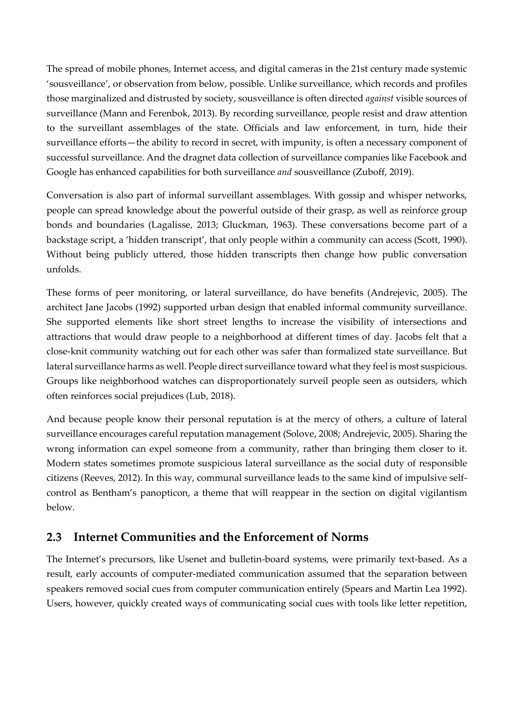The spread of mobile phones, Internet access, and digital cameras in the 21st century made systemic 'sousveillance', or observation from below, possible. Unlike surveillance, which records and profiles those marginalized and distrusted by society, sousveillance is often directed *against* visible sources of surveillance (Mann and Ferenbok, 2013). By recording surveillance, people resist and draw attention to the surveillant assemblages of the state. Officials and law enforcement, in turn, hide their surveillance efforts—the ability to record in secret, with impunity, is often a necessary component of successful surveillance. And the dragnet data collection of surveillance companies like Facebook and Google has enhanced capabilities for both surveillance *and* sousveillance (Zuboff, 2019).

Conversation is also part of informal surveillant assemblages. With gossip and whisper networks, people can spread knowledge about the powerful outside of their grasp, as well as reinforce group bonds and boundaries (Lagalisse, 2013; Gluckman, 1963). These conversations become part of a backstage script, a 'hidden transcript', that only people within a community can access (Scott, 1990). Without being publicly uttered, those hidden transcripts then change how public conversation unfolds.

These forms of peer monitoring, or lateral surveillance, do have benefits (Andrejevic, 2005). The architect Jane Jacobs (1992) supported urban design that enabled informal community surveillance. She supported elements like short street lengths to increase the visibility of intersections and attractions that would draw people to a neighborhood at different times of day. Jacobs felt that a close-knit community watching out for each other was safer than formalized state surveillance. But lateral surveillance harms as well. People direct surveillance toward what they feel is most suspicious. Groups like neighborhood watches can disproportionately surveil people seen as outsiders, which often reinforces social prejudices (Lub, 2018).

And because people know their personal reputation is at the mercy of others, a culture of lateral surveillance encourages careful reputation management (Solove, 2008; Andrejevic, 2005). Sharing the wrong information can expel someone from a community, rather than bringing them closer to it. Modern states sometimes promote suspicious lateral surveillance as the social duty of responsible citizens (Reeves, 2012). In this way, communal surveillance leads to the same kind of impulsive selfcontrol as Bentham's panopticon, a theme that will reappear in the section on digital vigilantism below.

#### **2.3 Internet Communities and the Enforcement of Norms**

The Internet's precursors, like Usenet and bulletin-board systems, were primarily text-based. As a result, early accounts of computer-mediated communication assumed that the separation between speakers removed social cues from computer communication entirely (Spears and Martin Lea 1992). Users, however, quickly created ways of communicating social cues with tools like letter repetition,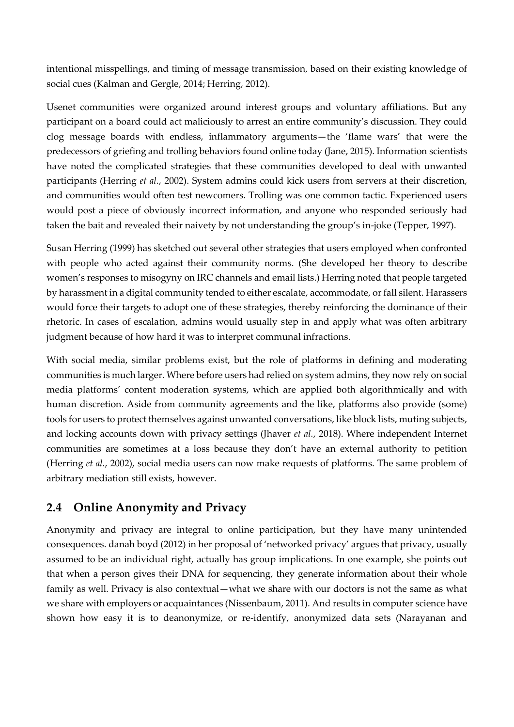intentional misspellings, and timing of message transmission, based on their existing knowledge of social cues (Kalman and Gergle, 2014; Herring, 2012).

Usenet communities were organized around interest groups and voluntary affiliations. But any participant on a board could act maliciously to arrest an entire community's discussion. They could clog message boards with endless, inflammatory arguments—the 'flame wars' that were the predecessors of griefing and trolling behaviors found online today (Jane, 2015). Information scientists have noted the complicated strategies that these communities developed to deal with unwanted participants (Herring *et al.*, 2002). System admins could kick users from servers at their discretion, and communities would often test newcomers. Trolling was one common tactic. Experienced users would post a piece of obviously incorrect information, and anyone who responded seriously had taken the bait and revealed their naivety by not understanding the group's in-joke (Tepper, 1997).

Susan Herring (1999) has sketched out several other strategies that users employed when confronted with people who acted against their community norms. (She developed her theory to describe women's responses to misogyny on IRC channels and email lists.) Herring noted that people targeted by harassment in a digital community tended to either escalate, accommodate, or fall silent. Harassers would force their targets to adopt one of these strategies, thereby reinforcing the dominance of their rhetoric. In cases of escalation, admins would usually step in and apply what was often arbitrary judgment because of how hard it was to interpret communal infractions.

With social media, similar problems exist, but the role of platforms in defining and moderating communities is much larger. Where before users had relied on system admins, they now rely on social media platforms' content moderation systems, which are applied both algorithmically and with human discretion. Aside from community agreements and the like, platforms also provide (some) tools for users to protect themselves against unwanted conversations, like block lists, muting subjects, and locking accounts down with privacy settings (Jhaver *et al.*, 2018). Where independent Internet communities are sometimes at a loss because they don't have an external authority to petition (Herring *et al.*, 2002), social media users can now make requests of platforms. The same problem of arbitrary mediation still exists, however.

#### **2.4 Online Anonymity and Privacy**

Anonymity and privacy are integral to online participation, but they have many unintended consequences. danah boyd (2012) in her proposal of 'networked privacy' argues that privacy, usually assumed to be an individual right, actually has group implications. In one example, she points out that when a person gives their DNA for sequencing, they generate information about their whole family as well. Privacy is also contextual—what we share with our doctors is not the same as what we share with employers or acquaintances (Nissenbaum, 2011). And results in computer science have shown how easy it is to deanonymize, or re-identify, anonymized data sets (Narayanan and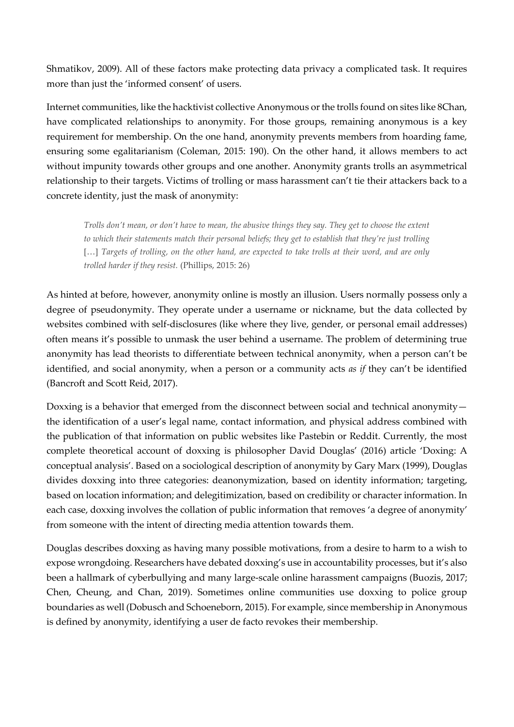Shmatikov, 2009). All of these factors make protecting data privacy a complicated task. It requires more than just the 'informed consent' of users.

Internet communities, like the hacktivist collective Anonymous or the trolls found on sites like 8Chan, have complicated relationships to anonymity. For those groups, remaining anonymous is a key requirement for membership. On the one hand, anonymity prevents members from hoarding fame, ensuring some egalitarianism (Coleman, 2015: 190). On the other hand, it allows members to act without impunity towards other groups and one another. Anonymity grants trolls an asymmetrical relationship to their targets. Victims of trolling or mass harassment can't tie their attackers back to a concrete identity, just the mask of anonymity:

*Trolls don't mean, or don't have to mean, the abusive things they say. They get to choose the extent to which their statements match their personal beliefs; they get to establish that they're just trolling*  [...] *Targets of trolling, on the other hand, are expected to take trolls at their word, and are only trolled harder if they resist.* (Phillips, 2015: 26)

As hinted at before, however, anonymity online is mostly an illusion. Users normally possess only a degree of pseudonymity. They operate under a username or nickname, but the data collected by websites combined with self-disclosures (like where they live, gender, or personal email addresses) often means it's possible to unmask the user behind a username. The problem of determining true anonymity has lead theorists to differentiate between technical anonymity, when a person can't be identified, and social anonymity, when a person or a community acts *as if* they can't be identified (Bancroft and Scott Reid, 2017).

Doxxing is a behavior that emerged from the disconnect between social and technical anonymity the identification of a user's legal name, contact information, and physical address combined with the publication of that information on public websites like Pastebin or Reddit. Currently, the most complete theoretical account of doxxing is philosopher David Douglas' (2016) article 'Doxing: A conceptual analysis'. Based on a sociological description of anonymity by Gary Marx (1999), Douglas divides doxxing into three categories: deanonymization, based on identity information; targeting, based on location information; and delegitimization, based on credibility or character information. In each case, doxxing involves the collation of public information that removes 'a degree of anonymity' from someone with the intent of directing media attention towards them.

Douglas describes doxxing as having many possible motivations, from a desire to harm to a wish to expose wrongdoing. Researchers have debated doxxing's use in accountability processes, but it's also been a hallmark of cyberbullying and many large-scale online harassment campaigns (Buozis, 2017; Chen, Cheung, and Chan, 2019). Sometimes online communities use doxxing to police group boundaries as well (Dobusch and Schoeneborn, 2015). For example, since membership in Anonymous is defined by anonymity, identifying a user de facto revokes their membership.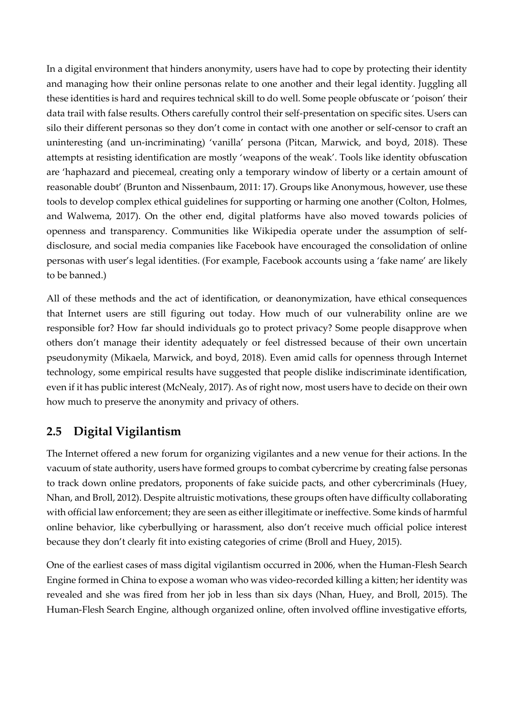In a digital environment that hinders anonymity, users have had to cope by protecting their identity and managing how their online personas relate to one another and their legal identity. Juggling all these identities is hard and requires technical skill to do well. Some people obfuscate or 'poison' their data trail with false results. Others carefully control their self-presentation on specific sites. Users can silo their different personas so they don't come in contact with one another or self-censor to craft an uninteresting (and un-incriminating) 'vanilla' persona (Pitcan, Marwick, and boyd, 2018). These attempts at resisting identification are mostly 'weapons of the weak'. Tools like identity obfuscation are 'haphazard and piecemeal, creating only a temporary window of liberty or a certain amount of reasonable doubt' (Brunton and Nissenbaum, 2011: 17). Groups like Anonymous, however, use these tools to develop complex ethical guidelines for supporting or harming one another (Colton, Holmes, and Walwema, 2017). On the other end, digital platforms have also moved towards policies of openness and transparency. Communities like Wikipedia operate under the assumption of selfdisclosure, and social media companies like Facebook have encouraged the consolidation of online personas with user's legal identities. (For example, Facebook accounts using a 'fake name' are likely to be banned.)

All of these methods and the act of identification, or deanonymization, have ethical consequences that Internet users are still figuring out today. How much of our vulnerability online are we responsible for? How far should individuals go to protect privacy? Some people disapprove when others don't manage their identity adequately or feel distressed because of their own uncertain pseudonymity (Mikaela, Marwick, and boyd, 2018). Even amid calls for openness through Internet technology, some empirical results have suggested that people dislike indiscriminate identification, even if it has public interest (McNealy, 2017). As of right now, most users have to decide on their own how much to preserve the anonymity and privacy of others.

## **2.5 Digital Vigilantism**

The Internet offered a new forum for organizing vigilantes and a new venue for their actions. In the vacuum of state authority, users have formed groups to combat cybercrime by creating false personas to track down online predators, proponents of fake suicide pacts, and other cybercriminals (Huey, Nhan, and Broll, 2012). Despite altruistic motivations, these groups often have difficulty collaborating with official law enforcement; they are seen as either illegitimate or ineffective. Some kinds of harmful online behavior, like cyberbullying or harassment, also don't receive much official police interest because they don't clearly fit into existing categories of crime (Broll and Huey, 2015).

One of the earliest cases of mass digital vigilantism occurred in 2006, when the Human-Flesh Search Engine formed in China to expose a woman who was video-recorded killing a kitten; her identity was revealed and she was fired from her job in less than six days (Nhan, Huey, and Broll, 2015). The Human-Flesh Search Engine, although organized online, often involved offline investigative efforts,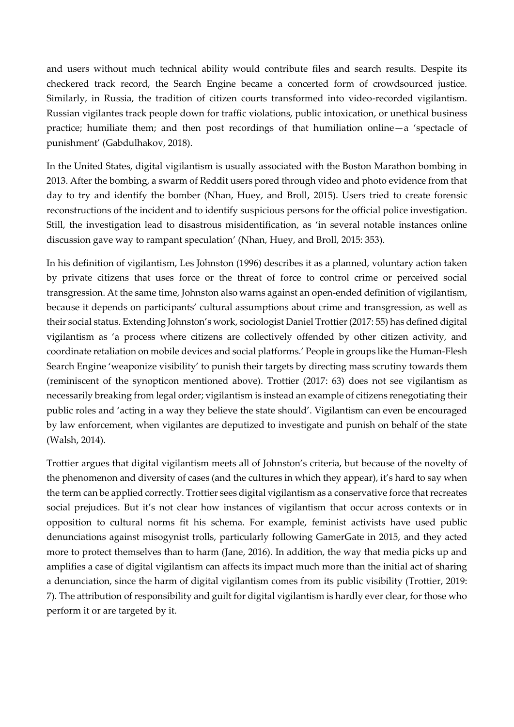and users without much technical ability would contribute files and search results. Despite its checkered track record, the Search Engine became a concerted form of crowdsourced justice. Similarly, in Russia, the tradition of citizen courts transformed into video-recorded vigilantism. Russian vigilantes track people down for traffic violations, public intoxication, or unethical business practice; humiliate them; and then post recordings of that humiliation online—a 'spectacle of punishment' (Gabdulhakov, 2018).

In the United States, digital vigilantism is usually associated with the Boston Marathon bombing in 2013. After the bombing, a swarm of Reddit users pored through video and photo evidence from that day to try and identify the bomber (Nhan, Huey, and Broll, 2015). Users tried to create forensic reconstructions of the incident and to identify suspicious persons for the official police investigation. Still, the investigation lead to disastrous misidentification, as 'in several notable instances online discussion gave way to rampant speculation' (Nhan, Huey, and Broll, 2015: 353).

In his definition of vigilantism, Les Johnston (1996) describes it as a planned, voluntary action taken by private citizens that uses force or the threat of force to control crime or perceived social transgression. At the same time, Johnston also warns against an open-ended definition of vigilantism, because it depends on participants' cultural assumptions about crime and transgression, as well as their social status. Extending Johnston's work, sociologist Daniel Trottier (2017: 55) has defined digital vigilantism as 'a process where citizens are collectively offended by other citizen activity, and coordinate retaliation on mobile devices and social platforms.' People in groups like the Human-Flesh Search Engine 'weaponize visibility' to punish their targets by directing mass scrutiny towards them (reminiscent of the synopticon mentioned above). Trottier (2017: 63) does not see vigilantism as necessarily breaking from legal order; vigilantism is instead an example of citizens renegotiating their public roles and 'acting in a way they believe the state should'. Vigilantism can even be encouraged by law enforcement, when vigilantes are deputized to investigate and punish on behalf of the state (Walsh, 2014).

Trottier argues that digital vigilantism meets all of Johnston's criteria, but because of the novelty of the phenomenon and diversity of cases (and the cultures in which they appear), it's hard to say when the term can be applied correctly. Trottier sees digital vigilantism as a conservative force that recreates social prejudices. But it's not clear how instances of vigilantism that occur across contexts or in opposition to cultural norms fit his schema. For example, feminist activists have used public denunciations against misogynist trolls, particularly following GamerGate in 2015, and they acted more to protect themselves than to harm (Jane, 2016). In addition, the way that media picks up and amplifies a case of digital vigilantism can affects its impact much more than the initial act of sharing a denunciation, since the harm of digital vigilantism comes from its public visibility (Trottier, 2019: 7). The attribution of responsibility and guilt for digital vigilantism is hardly ever clear, for those who perform it or are targeted by it.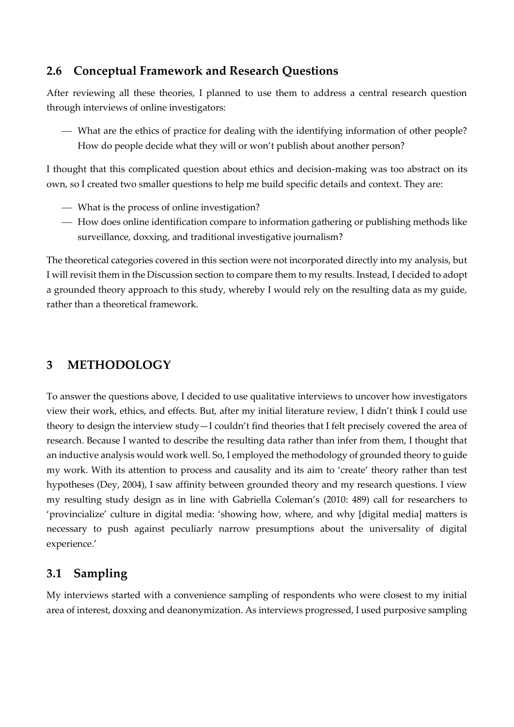#### **2.6 Conceptual Framework and Research Questions**

After reviewing all these theories, I planned to use them to address a central research question through interviews of online investigators:

⎯ What are the ethics of practice for dealing with the identifying information of other people? How do people decide what they will or won't publish about another person?

I thought that this complicated question about ethics and decision-making was too abstract on its own, so I created two smaller questions to help me build specific details and context. They are:

- ⎯ What is the process of online investigation?
- ⎯ How does online identification compare to information gathering or publishing methods like surveillance, doxxing, and traditional investigative journalism?

The theoretical categories covered in this section were not incorporated directly into my analysis, but I will revisit them in the Discussion section to compare them to my results. Instead, I decided to adopt a grounded theory approach to this study, whereby I would rely on the resulting data as my guide, rather than a theoretical framework.

#### **3 METHODOLOGY**

To answer the questions above, I decided to use qualitative interviews to uncover how investigators view their work, ethics, and effects. But, after my initial literature review, I didn't think I could use theory to design the interview study—I couldn't find theories that I felt precisely covered the area of research. Because I wanted to describe the resulting data rather than infer from them, I thought that an inductive analysis would work well. So, I employed the methodology of grounded theory to guide my work. With its attention to process and causality and its aim to 'create' theory rather than test hypotheses (Dey, 2004), I saw affinity between grounded theory and my research questions. I view my resulting study design as in line with Gabriella Coleman's (2010: 489) call for researchers to 'provincialize' culture in digital media: 'showing how, where, and why [digital media] matters is necessary to push against peculiarly narrow presumptions about the universality of digital experience.'

## **3.1 Sampling**

My interviews started with a convenience sampling of respondents who were closest to my initial area of interest, doxxing and deanonymization. As interviews progressed, I used purposive sampling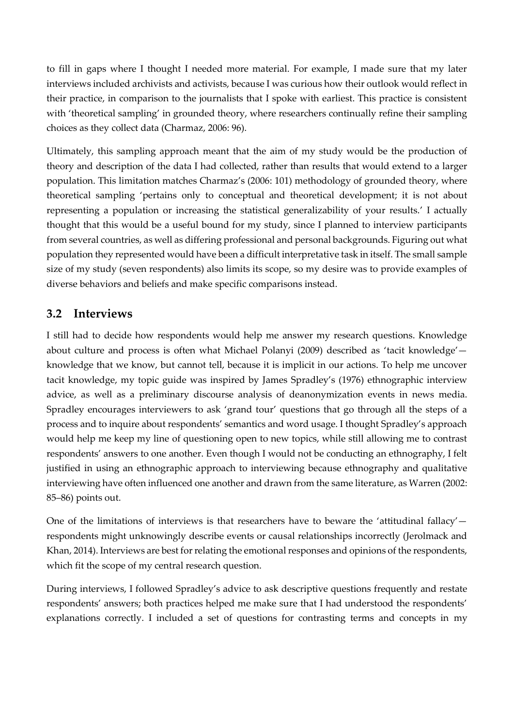to fill in gaps where I thought I needed more material. For example, I made sure that my later interviews included archivists and activists, because I was curious how their outlook would reflect in their practice, in comparison to the journalists that I spoke with earliest. This practice is consistent with 'theoretical sampling' in grounded theory, where researchers continually refine their sampling choices as they collect data (Charmaz, 2006: 96).

Ultimately, this sampling approach meant that the aim of my study would be the production of theory and description of the data I had collected, rather than results that would extend to a larger population. This limitation matches Charmaz's (2006: 101) methodology of grounded theory, where theoretical sampling 'pertains only to conceptual and theoretical development; it is not about representing a population or increasing the statistical generalizability of your results.' I actually thought that this would be a useful bound for my study, since I planned to interview participants from several countries, as well as differing professional and personal backgrounds. Figuring out what population they represented would have been a difficult interpretative task in itself. The small sample size of my study (seven respondents) also limits its scope, so my desire was to provide examples of diverse behaviors and beliefs and make specific comparisons instead.

#### **3.2 Interviews**

I still had to decide how respondents would help me answer my research questions. Knowledge about culture and process is often what Michael Polanyi (2009) described as 'tacit knowledge' knowledge that we know, but cannot tell, because it is implicit in our actions. To help me uncover tacit knowledge, my topic guide was inspired by James Spradley's (1976) ethnographic interview advice, as well as a preliminary discourse analysis of deanonymization events in news media. Spradley encourages interviewers to ask 'grand tour' questions that go through all the steps of a process and to inquire about respondents' semantics and word usage. I thought Spradley's approach would help me keep my line of questioning open to new topics, while still allowing me to contrast respondents' answers to one another. Even though I would not be conducting an ethnography, I felt justified in using an ethnographic approach to interviewing because ethnography and qualitative interviewing have often influenced one another and drawn from the same literature, as Warren (2002: 85–86) points out.

One of the limitations of interviews is that researchers have to beware the 'attitudinal fallacy' $$ respondents might unknowingly describe events or causal relationships incorrectly (Jerolmack and Khan, 2014). Interviews are best for relating the emotional responses and opinions of the respondents, which fit the scope of my central research question.

During interviews, I followed Spradley's advice to ask descriptive questions frequently and restate respondents' answers; both practices helped me make sure that I had understood the respondents' explanations correctly. I included a set of questions for contrasting terms and concepts in my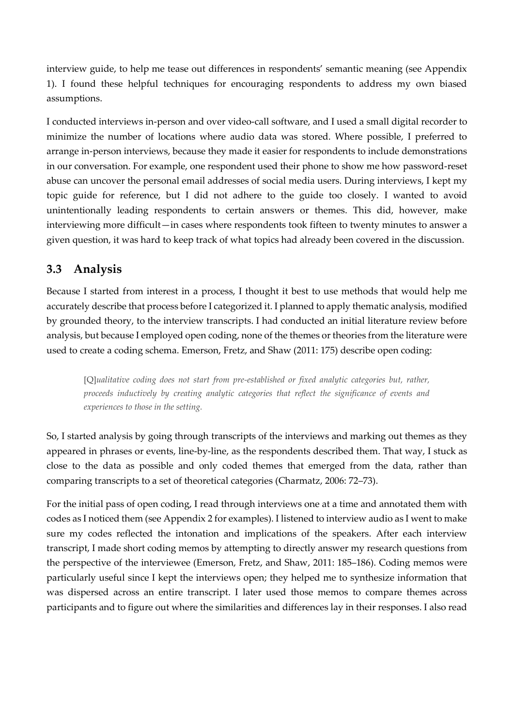interview guide, to help me tease out differences in respondents' semantic meaning (see Appendix 1). I found these helpful techniques for encouraging respondents to address my own biased assumptions.

I conducted interviews in-person and over video-call software, and I used a small digital recorder to minimize the number of locations where audio data was stored. Where possible, I preferred to arrange in-person interviews, because they made it easier for respondents to include demonstrations in our conversation. For example, one respondent used their phone to show me how password-reset abuse can uncover the personal email addresses of social media users. During interviews, I kept my topic guide for reference, but I did not adhere to the guide too closely. I wanted to avoid unintentionally leading respondents to certain answers or themes. This did, however, make interviewing more difficult—in cases where respondents took fifteen to twenty minutes to answer a given question, it was hard to keep track of what topics had already been covered in the discussion.

#### **3.3 Analysis**

Because I started from interest in a process, I thought it best to use methods that would help me accurately describe that process before I categorized it. I planned to apply thematic analysis, modified by grounded theory, to the interview transcripts. I had conducted an initial literature review before analysis, but because I employed open coding, none of the themes or theories from the literature were used to create a coding schema. Emerson, Fretz, and Shaw (2011: 175) describe open coding:

[Q]*ualitative coding does not start from pre-established or fixed analytic categories but, rather, proceeds inductively by creating analytic categories that reflect the significance of events and experiences to those in the setting.*

So, I started analysis by going through transcripts of the interviews and marking out themes as they appeared in phrases or events, line-by-line, as the respondents described them. That way, I stuck as close to the data as possible and only coded themes that emerged from the data, rather than comparing transcripts to a set of theoretical categories (Charmatz, 2006: 72–73).

For the initial pass of open coding, I read through interviews one at a time and annotated them with codes as I noticed them (see Appendix 2 for examples). I listened to interview audio as I went to make sure my codes reflected the intonation and implications of the speakers. After each interview transcript, I made short coding memos by attempting to directly answer my research questions from the perspective of the interviewee (Emerson, Fretz, and Shaw, 2011: 185–186). Coding memos were particularly useful since I kept the interviews open; they helped me to synthesize information that was dispersed across an entire transcript. I later used those memos to compare themes across participants and to figure out where the similarities and differences lay in their responses. I also read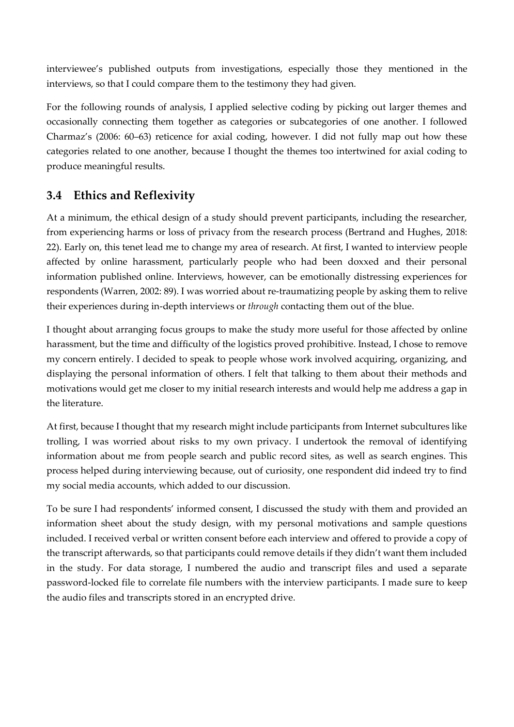interviewee's published outputs from investigations, especially those they mentioned in the interviews, so that I could compare them to the testimony they had given.

For the following rounds of analysis, I applied selective coding by picking out larger themes and occasionally connecting them together as categories or subcategories of one another. I followed Charmaz's (2006: 60–63) reticence for axial coding, however. I did not fully map out how these categories related to one another, because I thought the themes too intertwined for axial coding to produce meaningful results.

## **3.4 Ethics and Reflexivity**

At a minimum, the ethical design of a study should prevent participants, including the researcher, from experiencing harms or loss of privacy from the research process (Bertrand and Hughes, 2018: 22). Early on, this tenet lead me to change my area of research. At first, I wanted to interview people affected by online harassment, particularly people who had been doxxed and their personal information published online. Interviews, however, can be emotionally distressing experiences for respondents (Warren, 2002: 89). I was worried about re-traumatizing people by asking them to relive their experiences during in-depth interviews or *through* contacting them out of the blue.

I thought about arranging focus groups to make the study more useful for those affected by online harassment, but the time and difficulty of the logistics proved prohibitive. Instead, I chose to remove my concern entirely. I decided to speak to people whose work involved acquiring, organizing, and displaying the personal information of others. I felt that talking to them about their methods and motivations would get me closer to my initial research interests and would help me address a gap in the literature.

At first, because I thought that my research might include participants from Internet subcultures like trolling, I was worried about risks to my own privacy. I undertook the removal of identifying information about me from people search and public record sites, as well as search engines. This process helped during interviewing because, out of curiosity, one respondent did indeed try to find my social media accounts, which added to our discussion.

To be sure I had respondents' informed consent, I discussed the study with them and provided an information sheet about the study design, with my personal motivations and sample questions included. I received verbal or written consent before each interview and offered to provide a copy of the transcript afterwards, so that participants could remove details if they didn't want them included in the study. For data storage, I numbered the audio and transcript files and used a separate password-locked file to correlate file numbers with the interview participants. I made sure to keep the audio files and transcripts stored in an encrypted drive.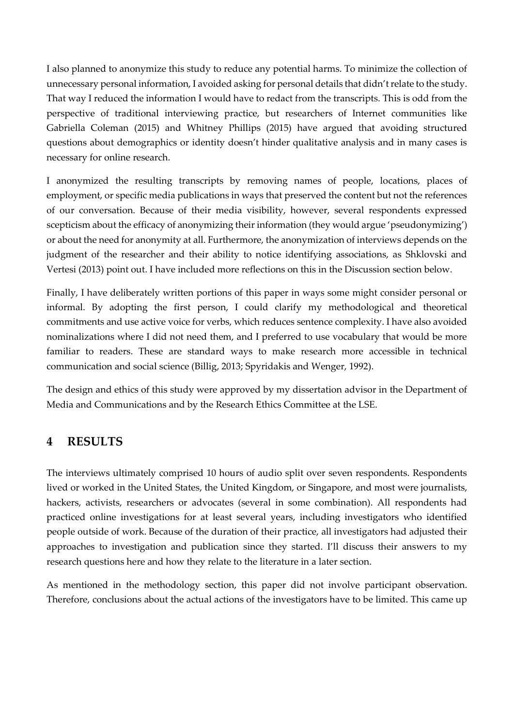I also planned to anonymize this study to reduce any potential harms. To minimize the collection of unnecessary personal information, I avoided asking for personal details that didn't relate to the study. That way I reduced the information I would have to redact from the transcripts. This is odd from the perspective of traditional interviewing practice, but researchers of Internet communities like Gabriella Coleman (2015) and Whitney Phillips (2015) have argued that avoiding structured questions about demographics or identity doesn't hinder qualitative analysis and in many cases is necessary for online research.

I anonymized the resulting transcripts by removing names of people, locations, places of employment, or specific media publications in ways that preserved the content but not the references of our conversation. Because of their media visibility, however, several respondents expressed scepticism about the efficacy of anonymizing their information (they would argue 'pseudonymizing') or about the need for anonymity at all. Furthermore, the anonymization of interviews depends on the judgment of the researcher and their ability to notice identifying associations, as Shklovski and Vertesi (2013) point out. I have included more reflections on this in the Discussion section below.

Finally, I have deliberately written portions of this paper in ways some might consider personal or informal. By adopting the first person, I could clarify my methodological and theoretical commitments and use active voice for verbs, which reduces sentence complexity. I have also avoided nominalizations where I did not need them, and I preferred to use vocabulary that would be more familiar to readers. These are standard ways to make research more accessible in technical communication and social science (Billig, 2013; Spyridakis and Wenger, 1992).

The design and ethics of this study were approved by my dissertation advisor in the Department of Media and Communications and by the Research Ethics Committee at the LSE.

#### **4 RESULTS**

The interviews ultimately comprised 10 hours of audio split over seven respondents. Respondents lived or worked in the United States, the United Kingdom, or Singapore, and most were journalists, hackers, activists, researchers or advocates (several in some combination). All respondents had practiced online investigations for at least several years, including investigators who identified people outside of work. Because of the duration of their practice, all investigators had adjusted their approaches to investigation and publication since they started. I'll discuss their answers to my research questions here and how they relate to the literature in a later section.

As mentioned in the methodology section, this paper did not involve participant observation. Therefore, conclusions about the actual actions of the investigators have to be limited. This came up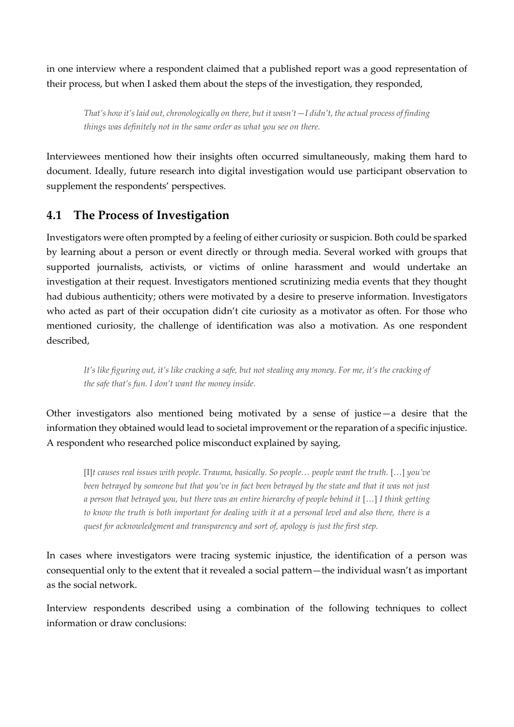in one interview where a respondent claimed that a published report was a good representation of their process, but when I asked them about the steps of the investigation, they responded,

*That's how it's laid out, chronologically on there, but it wasn't—I didn't, the actual process of finding things was definitely not in the same order as what you see on there.*

Interviewees mentioned how their insights often occurred simultaneously, making them hard to document. Ideally, future research into digital investigation would use participant observation to supplement the respondents' perspectives.

#### **4.1 The Process of Investigation**

Investigators were often prompted by a feeling of either curiosity or suspicion. Both could be sparked by learning about a person or event directly or through media. Several worked with groups that supported journalists, activists, or victims of online harassment and would undertake an investigation at their request. Investigators mentioned scrutinizing media events that they thought had dubious authenticity; others were motivated by a desire to preserve information. Investigators who acted as part of their occupation didn't cite curiosity as a motivator as often. For those who mentioned curiosity, the challenge of identification was also a motivation. As one respondent described,

*It's like figuring out, it's like cracking a safe, but not stealing any money. For me, it's the cracking of the safe that's fun. I don't want the money inside.*

Other investigators also mentioned being motivated by a sense of justice—a desire that the information they obtained would lead to societal improvement or the reparation of a specific injustice. A respondent who researched police misconduct explained by saying,

[I]*t causes real issues with people. Trauma, basically. So people... people want the truth.* [...] *you've been betrayed by someone but that you've in fact been betrayed by the state and that it was not just*  a person that betrayed you, but there was an entire hierarchy of people behind it […] I think getting *to know the truth is both important for dealing with it at a personal level and also there, there is a quest for acknowledgment and transparency and sort of, apology is just the first step.*

In cases where investigators were tracing systemic injustice, the identification of a person was consequential only to the extent that it revealed a social pattern—the individual wasn't as important as the social network.

Interview respondents described using a combination of the following techniques to collect information or draw conclusions: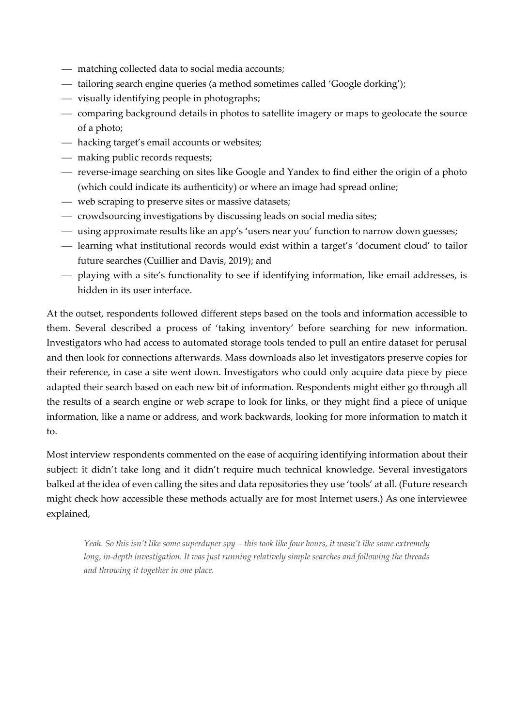- matching collected data to social media accounts;
- tailoring search engine queries (a method sometimes called 'Google dorking');
- ⎯ visually identifying people in photographs;
- ⎯ comparing background details in photos to satellite imagery or maps to geolocate the source of a photo;
- hacking target's email accounts or websites;
- $-$  making public records requests;
- ⎯ reverse-image searching on sites like Google and Yandex to find either the origin of a photo (which could indicate its authenticity) or where an image had spread online;
- ⎯ web scraping to preserve sites or massive datasets;
- ⎯ crowdsourcing investigations by discussing leads on social media sites;
- ⎯ using approximate results like an app's 'users near you' function to narrow down guesses;
- learning what institutional records would exist within a target's 'document cloud' to tailor future searches (Cuillier and Davis, 2019); and
- ⎯ playing with a site's functionality to see if identifying information, like email addresses, is hidden in its user interface.

At the outset, respondents followed different steps based on the tools and information accessible to them. Several described a process of 'taking inventory' before searching for new information. Investigators who had access to automated storage tools tended to pull an entire dataset for perusal and then look for connections afterwards. Mass downloads also let investigators preserve copies for their reference, in case a site went down. Investigators who could only acquire data piece by piece adapted their search based on each new bit of information. Respondents might either go through all the results of a search engine or web scrape to look for links, or they might find a piece of unique information, like a name or address, and work backwards, looking for more information to match it to.

Most interview respondents commented on the ease of acquiring identifying information about their subject: it didn't take long and it didn't require much technical knowledge. Several investigators balked at the idea of even calling the sites and data repositories they use 'tools' at all. (Future research might check how accessible these methods actually are for most Internet users.) As one interviewee explained,

*Yeah. So this isn't like some superduper spy—this took like four hours, it wasn't like some extremely long, in-depth investigation. It was just running relatively simple searches and following the threads and throwing it together in one place.*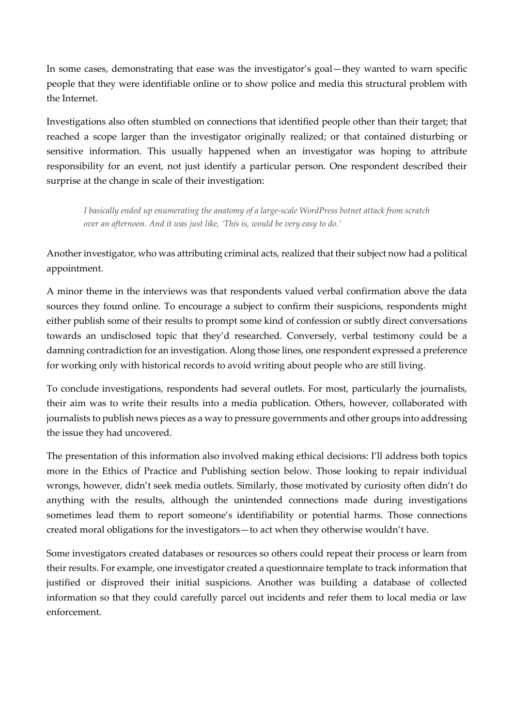In some cases, demonstrating that ease was the investigator's goal—they wanted to warn specific people that they were identifiable online or to show police and media this structural problem with the Internet.

Investigations also often stumbled on connections that identified people other than their target; that reached a scope larger than the investigator originally realized; or that contained disturbing or sensitive information. This usually happened when an investigator was hoping to attribute responsibility for an event, not just identify a particular person. One respondent described their surprise at the change in scale of their investigation:

*I basically ended up enumerating the anatomy of a large-scale WordPress botnet attack from scratch over an afternoon. And it was just like, 'This is, would be very easy to do.'*

Another investigator, who was attributing criminal acts, realized that their subject now had a political appointment.

A minor theme in the interviews was that respondents valued verbal confirmation above the data sources they found online. To encourage a subject to confirm their suspicions, respondents might either publish some of their results to prompt some kind of confession or subtly direct conversations towards an undisclosed topic that they'd researched. Conversely, verbal testimony could be a damning contradiction for an investigation. Along those lines, one respondent expressed a preference for working only with historical records to avoid writing about people who are still living.

To conclude investigations, respondents had several outlets. For most, particularly the journalists, their aim was to write their results into a media publication. Others, however, collaborated with journalists to publish news pieces as a way to pressure governments and other groups into addressing the issue they had uncovered.

The presentation of this information also involved making ethical decisions: I'll address both topics more in the Ethics of Practice and Publishing section below. Those looking to repair individual wrongs, however, didn't seek media outlets. Similarly, those motivated by curiosity often didn't do anything with the results, although the unintended connections made during investigations sometimes lead them to report someone's identifiability or potential harms. Those connections created moral obligations for the investigators—to act when they otherwise wouldn't have.

Some investigators created databases or resources so others could repeat their process or learn from their results. For example, one investigator created a questionnaire template to track information that justified or disproved their initial suspicions. Another was building a database of collected information so that they could carefully parcel out incidents and refer them to local media or law enforcement.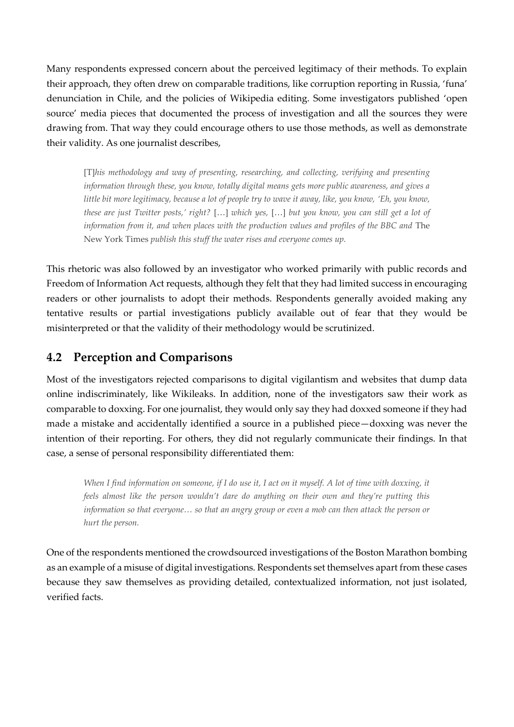Many respondents expressed concern about the perceived legitimacy of their methods. To explain their approach, they often drew on comparable traditions, like corruption reporting in Russia, 'funa' denunciation in Chile, and the policies of Wikipedia editing. Some investigators published 'open source' media pieces that documented the process of investigation and all the sources they were drawing from. That way they could encourage others to use those methods, as well as demonstrate their validity. As one journalist describes,

[T]*his methodology and way of presenting, researching, and collecting, verifying and presenting information through these, you know, totally digital means gets more public awareness, and gives a little bit more legitimacy, because a lot of people try to wave it away, like, you know, 'Eh, you know, these are just Twitter posts,' right?* […] *which yes,* […] *but you know, you can still get a lot of information from it, and when places with the production values and profiles of the BBC and The* New York Times *publish this stuff the water rises and everyone comes up.*

This rhetoric was also followed by an investigator who worked primarily with public records and Freedom of Information Act requests, although they felt that they had limited success in encouraging readers or other journalists to adopt their methods. Respondents generally avoided making any tentative results or partial investigations publicly available out of fear that they would be misinterpreted or that the validity of their methodology would be scrutinized.

#### **4.2 Perception and Comparisons**

Most of the investigators rejected comparisons to digital vigilantism and websites that dump data online indiscriminately, like Wikileaks. In addition, none of the investigators saw their work as comparable to doxxing. For one journalist, they would only say they had doxxed someone if they had made a mistake and accidentally identified a source in a published piece—doxxing was never the intention of their reporting. For others, they did not regularly communicate their findings. In that case, a sense of personal responsibility differentiated them:

*When I find information on someone, if I do use it, I act on it myself. A lot of time with doxxing, it feels almost like the person wouldn't dare do anything on their own and they're putting this information so that everyone… so that an angry group or even a mob can then attack the person or hurt the person.*

One of the respondents mentioned the crowdsourced investigations of the Boston Marathon bombing as an example of a misuse of digital investigations. Respondents set themselves apart from these cases because they saw themselves as providing detailed, contextualized information, not just isolated, verified facts.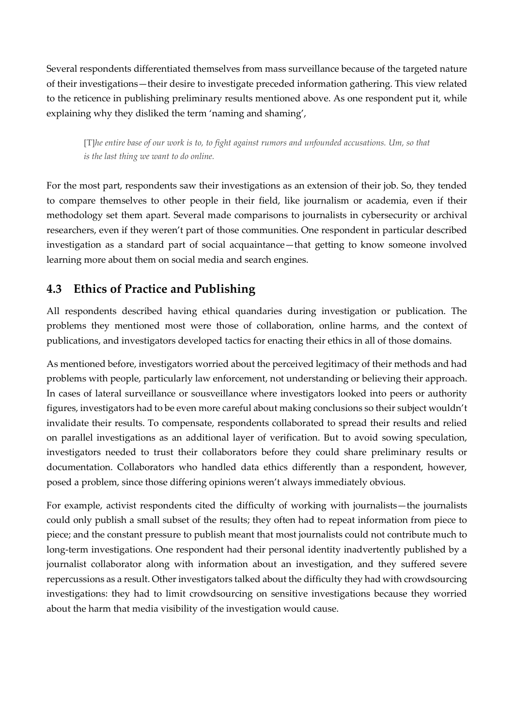Several respondents differentiated themselves from mass surveillance because of the targeted nature of their investigations—their desire to investigate preceded information gathering. This view related to the reticence in publishing preliminary results mentioned above. As one respondent put it, while explaining why they disliked the term 'naming and shaming',

[T]*he entire base of our work is to, to fight against rumors and unfounded accusations. Um, so that is the last thing we want to do online.*

For the most part, respondents saw their investigations as an extension of their job. So, they tended to compare themselves to other people in their field, like journalism or academia, even if their methodology set them apart. Several made comparisons to journalists in cybersecurity or archival researchers, even if they weren't part of those communities. One respondent in particular described investigation as a standard part of social acquaintance—that getting to know someone involved learning more about them on social media and search engines.

## **4.3 Ethics of Practice and Publishing**

All respondents described having ethical quandaries during investigation or publication. The problems they mentioned most were those of collaboration, online harms, and the context of publications, and investigators developed tactics for enacting their ethics in all of those domains.

As mentioned before, investigators worried about the perceived legitimacy of their methods and had problems with people, particularly law enforcement, not understanding or believing their approach. In cases of lateral surveillance or sousveillance where investigators looked into peers or authority figures, investigators had to be even more careful about making conclusions so their subject wouldn't invalidate their results. To compensate, respondents collaborated to spread their results and relied on parallel investigations as an additional layer of verification. But to avoid sowing speculation, investigators needed to trust their collaborators before they could share preliminary results or documentation. Collaborators who handled data ethics differently than a respondent, however, posed a problem, since those differing opinions weren't always immediately obvious.

For example, activist respondents cited the difficulty of working with journalists—the journalists could only publish a small subset of the results; they often had to repeat information from piece to piece; and the constant pressure to publish meant that most journalists could not contribute much to long-term investigations. One respondent had their personal identity inadvertently published by a journalist collaborator along with information about an investigation, and they suffered severe repercussions as a result. Other investigators talked about the difficulty they had with crowdsourcing investigations: they had to limit crowdsourcing on sensitive investigations because they worried about the harm that media visibility of the investigation would cause.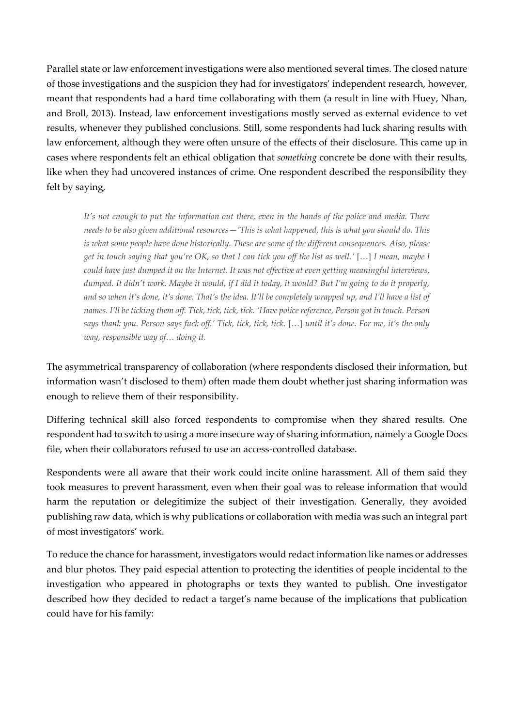Parallel state or law enforcement investigations were also mentioned several times. The closed nature of those investigations and the suspicion they had for investigators' independent research, however, meant that respondents had a hard time collaborating with them (a result in line with Huey, Nhan, and Broll, 2013). Instead, law enforcement investigations mostly served as external evidence to vet results, whenever they published conclusions. Still, some respondents had luck sharing results with law enforcement, although they were often unsure of the effects of their disclosure. This came up in cases where respondents felt an ethical obligation that *something* concrete be done with their results, like when they had uncovered instances of crime. One respondent described the responsibility they felt by saying,

*It's not enough to put the information out there, even in the hands of the police and media. There needs to be also given additional resources—'This is what happened, this is what you should do. This is what some people have done historically. These are some of the different consequences. Also, please get in touch saying that you're OK, so that I can tick you off the list as well.'* […] *I mean, maybe I could have just dumped it on the Internet. It was not effective at even getting meaningful interviews, dumped. It didn't work. Maybe it would, if I did it today, it would? But I'm going to do it properly, and so when it's done, it's done. That's the idea. It'll be completely wrapped up, and I'll have a list of names. I'll be ticking them off. Tick, tick, tick, tick. 'Have police reference, Person got in touch. Person says thank you. Person says fuck off.' Tick, tick, tick, tick.* […] *until it's done. For me, it's the only way, responsible way of… doing it.*

The asymmetrical transparency of collaboration (where respondents disclosed their information, but information wasn't disclosed to them) often made them doubt whether just sharing information was enough to relieve them of their responsibility.

Differing technical skill also forced respondents to compromise when they shared results. One respondent had to switch to using a more insecure way of sharing information, namely a Google Docs file, when their collaborators refused to use an access-controlled database.

Respondents were all aware that their work could incite online harassment. All of them said they took measures to prevent harassment, even when their goal was to release information that would harm the reputation or delegitimize the subject of their investigation. Generally, they avoided publishing raw data, which is why publications or collaboration with media was such an integral part of most investigators' work.

To reduce the chance for harassment, investigators would redact information like names or addresses and blur photos. They paid especial attention to protecting the identities of people incidental to the investigation who appeared in photographs or texts they wanted to publish. One investigator described how they decided to redact a target's name because of the implications that publication could have for his family: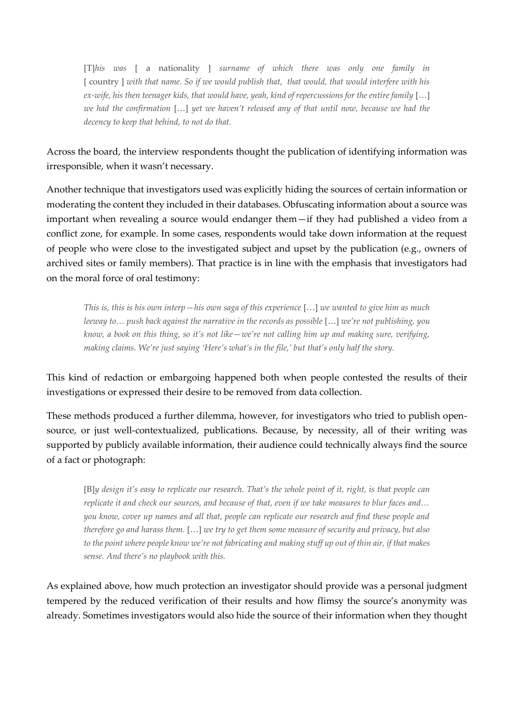[T]*his was* [ a nationality ] *surname of which there was only one family in*  [ country ] *with that name. So if we would publish that, that would, that would interfere with his ex-wife, his then teenager kids, that would have, yeah, kind of repercussions for the entire family* [...] *we had the confirmation* […] *yet we haven't released any of that until now, because we had the decency to keep that behind, to not do that.* 

Across the board, the interview respondents thought the publication of identifying information was irresponsible, when it wasn't necessary.

Another technique that investigators used was explicitly hiding the sources of certain information or moderating the content they included in their databases. Obfuscating information about a source was important when revealing a source would endanger them—if they had published a video from a conflict zone, for example. In some cases, respondents would take down information at the request of people who were close to the investigated subject and upset by the publication (e.g., owners of archived sites or family members). That practice is in line with the emphasis that investigators had on the moral force of oral testimony:

*This is, this is his own interp—his own saga of this experience* […] *we wanted to give him as much leeway to... push back against the narrative in the records as possible* [...] *we're not publishing, you know, a book on this thing, so it's not like—we're not calling him up and making sure, verifying, making claims. We're just saying 'Here's what's in the file,' but that's only half the story.*

This kind of redaction or embargoing happened both when people contested the results of their investigations or expressed their desire to be removed from data collection.

These methods produced a further dilemma, however, for investigators who tried to publish opensource, or just well-contextualized, publications. Because, by necessity, all of their writing was supported by publicly available information, their audience could technically always find the source of a fact or photograph:

[B]*y design it's easy to replicate our research. That's the whole point of it, right, is that people can replicate it and check our sources, and because of that, even if we take measures to blur faces and… you know, cover up names and all that, people can replicate our research and find these people and therefore go and harass them.* […] *we try to get them some measure of security and privacy, but also to the point where people know we're not fabricating and making stuff up out of thin air, if that makes sense. And there's no playbook with this.*

As explained above, how much protection an investigator should provide was a personal judgment tempered by the reduced verification of their results and how flimsy the source's anonymity was already. Sometimes investigators would also hide the source of their information when they thought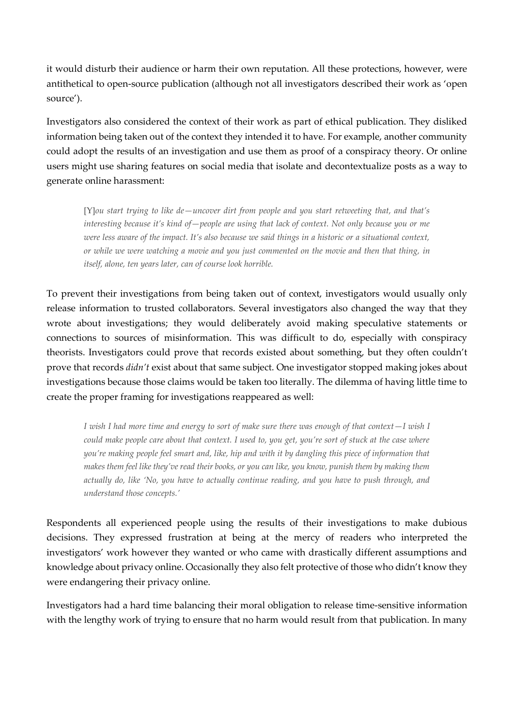it would disturb their audience or harm their own reputation. All these protections, however, were antithetical to open-source publication (although not all investigators described their work as 'open source').

Investigators also considered the context of their work as part of ethical publication. They disliked information being taken out of the context they intended it to have. For example, another community could adopt the results of an investigation and use them as proof of a conspiracy theory. Or online users might use sharing features on social media that isolate and decontextualize posts as a way to generate online harassment:

[Y]*ou start trying to like de—uncover dirt from people and you start retweeting that, and that's interesting because it's kind of—people are using that lack of context. Not only because you or me were less aware of the impact. It's also because we said things in a historic or a situational context, or while we were watching a movie and you just commented on the movie and then that thing, in itself, alone, ten years later, can of course look horrible.*

To prevent their investigations from being taken out of context, investigators would usually only release information to trusted collaborators. Several investigators also changed the way that they wrote about investigations; they would deliberately avoid making speculative statements or connections to sources of misinformation. This was difficult to do, especially with conspiracy theorists. Investigators could prove that records existed about something, but they often couldn't prove that records *didn't* exist about that same subject. One investigator stopped making jokes about investigations because those claims would be taken too literally. The dilemma of having little time to create the proper framing for investigations reappeared as well:

*I wish I had more time and energy to sort of make sure there was enough of that context—I wish I could make people care about that context. I used to, you get, you're sort of stuck at the case where you're making people feel smart and, like, hip and with it by dangling this piece of information that makes them feel like they've read their books, or you can like, you know, punish them by making them actually do, like 'No, you have to actually continue reading, and you have to push through, and understand those concepts.'*

Respondents all experienced people using the results of their investigations to make dubious decisions. They expressed frustration at being at the mercy of readers who interpreted the investigators' work however they wanted or who came with drastically different assumptions and knowledge about privacy online. Occasionally they also felt protective of those who didn't know they were endangering their privacy online.

Investigators had a hard time balancing their moral obligation to release time-sensitive information with the lengthy work of trying to ensure that no harm would result from that publication. In many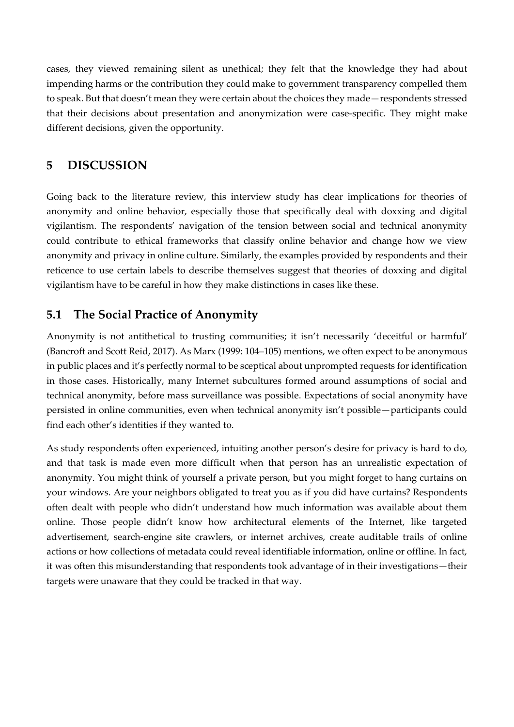cases, they viewed remaining silent as unethical; they felt that the knowledge they had about impending harms or the contribution they could make to government transparency compelled them to speak. But that doesn't mean they were certain about the choices they made—respondents stressed that their decisions about presentation and anonymization were case-specific. They might make different decisions, given the opportunity.

#### **5 DISCUSSION**

Going back to the literature review, this interview study has clear implications for theories of anonymity and online behavior, especially those that specifically deal with doxxing and digital vigilantism. The respondents' navigation of the tension between social and technical anonymity could contribute to ethical frameworks that classify online behavior and change how we view anonymity and privacy in online culture. Similarly, the examples provided by respondents and their reticence to use certain labels to describe themselves suggest that theories of doxxing and digital vigilantism have to be careful in how they make distinctions in cases like these.

#### **5.1 The Social Practice of Anonymity**

Anonymity is not antithetical to trusting communities; it isn't necessarily 'deceitful or harmful' (Bancroft and Scott Reid, 2017). As Marx (1999: 104–105) mentions, we often expect to be anonymous in public places and it's perfectly normal to be sceptical about unprompted requests for identification in those cases. Historically, many Internet subcultures formed around assumptions of social and technical anonymity, before mass surveillance was possible. Expectations of social anonymity have persisted in online communities, even when technical anonymity isn't possible—participants could find each other's identities if they wanted to.

As study respondents often experienced, intuiting another person's desire for privacy is hard to do, and that task is made even more difficult when that person has an unrealistic expectation of anonymity. You might think of yourself a private person, but you might forget to hang curtains on your windows. Are your neighbors obligated to treat you as if you did have curtains? Respondents often dealt with people who didn't understand how much information was available about them online. Those people didn't know how architectural elements of the Internet, like targeted advertisement, search-engine site crawlers, or internet archives, create auditable trails of online actions or how collections of metadata could reveal identifiable information, online or offline. In fact, it was often this misunderstanding that respondents took advantage of in their investigations—their targets were unaware that they could be tracked in that way.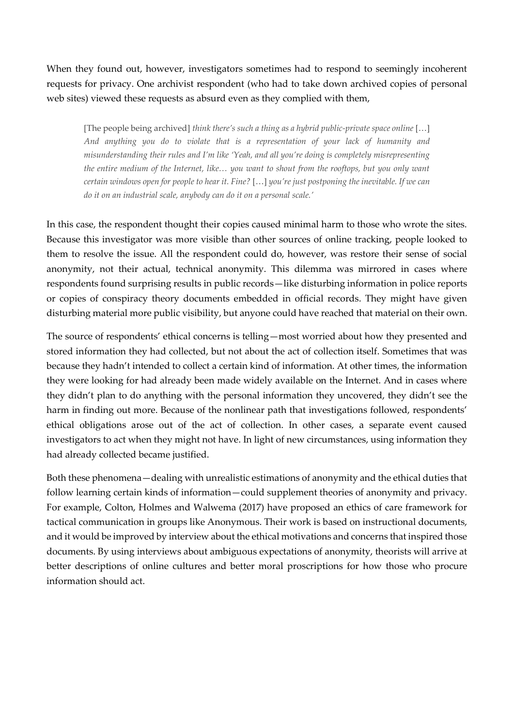When they found out, however, investigators sometimes had to respond to seemingly incoherent requests for privacy. One archivist respondent (who had to take down archived copies of personal web sites) viewed these requests as absurd even as they complied with them,

[The people being archived] *think there's such a thing as a hybrid public-private space online* […] *And anything you do to violate that is a representation of your lack of humanity and misunderstanding their rules and I'm like 'Yeah, and all you're doing is completely misrepresenting the entire medium of the Internet, like… you want to shout from the rooftops, but you only want certain windows open for people to hear it. Fine?* […] *you're just postponing the inevitable. If we can do it on an industrial scale, anybody can do it on a personal scale.'*

In this case, the respondent thought their copies caused minimal harm to those who wrote the sites. Because this investigator was more visible than other sources of online tracking, people looked to them to resolve the issue. All the respondent could do, however, was restore their sense of social anonymity, not their actual, technical anonymity. This dilemma was mirrored in cases where respondents found surprising results in public records—like disturbing information in police reports or copies of conspiracy theory documents embedded in official records. They might have given disturbing material more public visibility, but anyone could have reached that material on their own.

The source of respondents' ethical concerns is telling—most worried about how they presented and stored information they had collected, but not about the act of collection itself. Sometimes that was because they hadn't intended to collect a certain kind of information. At other times, the information they were looking for had already been made widely available on the Internet. And in cases where they didn't plan to do anything with the personal information they uncovered, they didn't see the harm in finding out more. Because of the nonlinear path that investigations followed, respondents' ethical obligations arose out of the act of collection. In other cases, a separate event caused investigators to act when they might not have. In light of new circumstances, using information they had already collected became justified.

Both these phenomena—dealing with unrealistic estimations of anonymity and the ethical duties that follow learning certain kinds of information—could supplement theories of anonymity and privacy. For example, Colton, Holmes and Walwema (2017) have proposed an ethics of care framework for tactical communication in groups like Anonymous. Their work is based on instructional documents, and it would be improved by interview about the ethical motivations and concerns that inspired those documents. By using interviews about ambiguous expectations of anonymity, theorists will arrive at better descriptions of online cultures and better moral proscriptions for how those who procure information should act.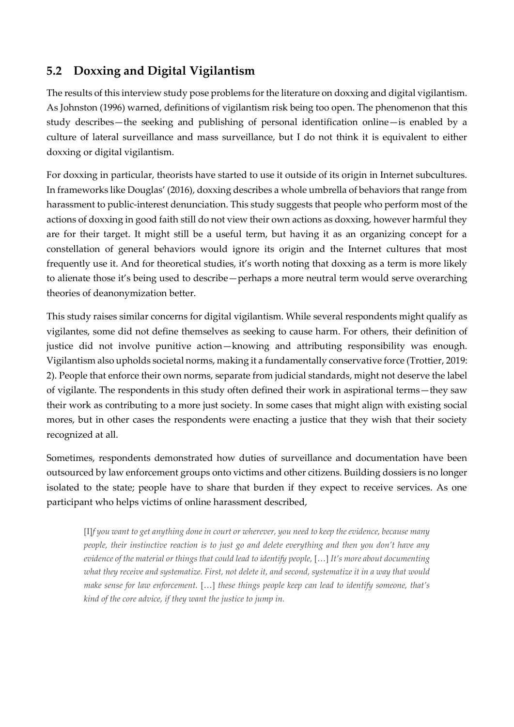### **5.2 Doxxing and Digital Vigilantism**

The results of this interview study pose problems for the literature on doxxing and digital vigilantism. As Johnston (1996) warned, definitions of vigilantism risk being too open. The phenomenon that this study describes—the seeking and publishing of personal identification online—is enabled by a culture of lateral surveillance and mass surveillance, but I do not think it is equivalent to either doxxing or digital vigilantism.

For doxxing in particular, theorists have started to use it outside of its origin in Internet subcultures. In frameworks like Douglas' (2016), doxxing describes a whole umbrella of behaviors that range from harassment to public-interest denunciation. This study suggests that people who perform most of the actions of doxxing in good faith still do not view their own actions as doxxing, however harmful they are for their target. It might still be a useful term, but having it as an organizing concept for a constellation of general behaviors would ignore its origin and the Internet cultures that most frequently use it. And for theoretical studies, it's worth noting that doxxing as a term is more likely to alienate those it's being used to describe—perhaps a more neutral term would serve overarching theories of deanonymization better.

This study raises similar concerns for digital vigilantism. While several respondents might qualify as vigilantes, some did not define themselves as seeking to cause harm. For others, their definition of justice did not involve punitive action—knowing and attributing responsibility was enough. Vigilantism also upholds societal norms, making it a fundamentally conservative force (Trottier, 2019: 2). People that enforce their own norms, separate from judicial standards, might not deserve the label of vigilante. The respondents in this study often defined their work in aspirational terms—they saw their work as contributing to a more just society. In some cases that might align with existing social mores, but in other cases the respondents were enacting a justice that they wish that their society recognized at all.

Sometimes, respondents demonstrated how duties of surveillance and documentation have been outsourced by law enforcement groups onto victims and other citizens. Building dossiers is no longer isolated to the state; people have to share that burden if they expect to receive services. As one participant who helps victims of online harassment described,

[I]*f you want to get anything done in court or wherever, you need to keep the evidence, because many people, their instinctive reaction is to just go and delete everything and then you don't have any evidence of the material or things that could lead to identify people,* […] *It's more about documenting what they receive and systematize. First, not delete it, and second, systematize it in a way that would make sense for law enforcement.* […] *these things people keep can lead to identify someone, that's kind of the core advice, if they want the justice to jump in.*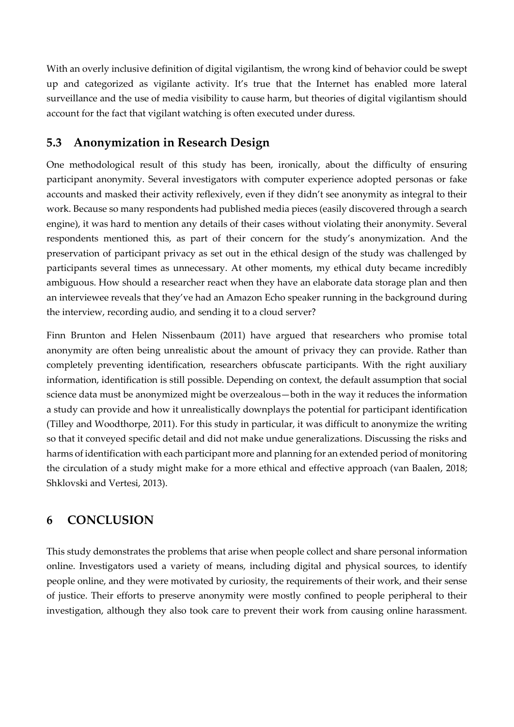With an overly inclusive definition of digital vigilantism, the wrong kind of behavior could be swept up and categorized as vigilante activity. It's true that the Internet has enabled more lateral surveillance and the use of media visibility to cause harm, but theories of digital vigilantism should account for the fact that vigilant watching is often executed under duress.

#### **5.3 Anonymization in Research Design**

One methodological result of this study has been, ironically, about the difficulty of ensuring participant anonymity. Several investigators with computer experience adopted personas or fake accounts and masked their activity reflexively, even if they didn't see anonymity as integral to their work. Because so many respondents had published media pieces (easily discovered through a search engine), it was hard to mention any details of their cases without violating their anonymity. Several respondents mentioned this, as part of their concern for the study's anonymization. And the preservation of participant privacy as set out in the ethical design of the study was challenged by participants several times as unnecessary. At other moments, my ethical duty became incredibly ambiguous. How should a researcher react when they have an elaborate data storage plan and then an interviewee reveals that they've had an Amazon Echo speaker running in the background during the interview, recording audio, and sending it to a cloud server?

Finn Brunton and Helen Nissenbaum (2011) have argued that researchers who promise total anonymity are often being unrealistic about the amount of privacy they can provide. Rather than completely preventing identification, researchers obfuscate participants. With the right auxiliary information, identification is still possible. Depending on context, the default assumption that social science data must be anonymized might be overzealous—both in the way it reduces the information a study can provide and how it unrealistically downplays the potential for participant identification (Tilley and Woodthorpe, 2011). For this study in particular, it was difficult to anonymize the writing so that it conveyed specific detail and did not make undue generalizations. Discussing the risks and harms of identification with each participant more and planning for an extended period of monitoring the circulation of a study might make for a more ethical and effective approach (van Baalen, 2018; Shklovski and Vertesi, 2013).

#### **6 CONCLUSION**

This study demonstrates the problems that arise when people collect and share personal information online. Investigators used a variety of means, including digital and physical sources, to identify people online, and they were motivated by curiosity, the requirements of their work, and their sense of justice. Their efforts to preserve anonymity were mostly confined to people peripheral to their investigation, although they also took care to prevent their work from causing online harassment.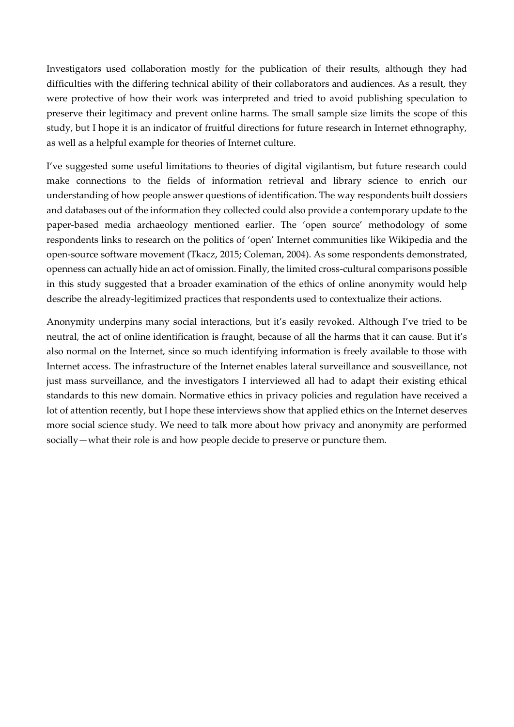Investigators used collaboration mostly for the publication of their results, although they had difficulties with the differing technical ability of their collaborators and audiences. As a result, they were protective of how their work was interpreted and tried to avoid publishing speculation to preserve their legitimacy and prevent online harms. The small sample size limits the scope of this study, but I hope it is an indicator of fruitful directions for future research in Internet ethnography, as well as a helpful example for theories of Internet culture.

I've suggested some useful limitations to theories of digital vigilantism, but future research could make connections to the fields of information retrieval and library science to enrich our understanding of how people answer questions of identification. The way respondents built dossiers and databases out of the information they collected could also provide a contemporary update to the paper-based media archaeology mentioned earlier. The 'open source' methodology of some respondents links to research on the politics of 'open' Internet communities like Wikipedia and the open-source software movement (Tkacz, 2015; Coleman, 2004). As some respondents demonstrated, openness can actually hide an act of omission. Finally, the limited cross-cultural comparisons possible in this study suggested that a broader examination of the ethics of online anonymity would help describe the already-legitimized practices that respondents used to contextualize their actions.

Anonymity underpins many social interactions, but it's easily revoked. Although I've tried to be neutral, the act of online identification is fraught, because of all the harms that it can cause. But it's also normal on the Internet, since so much identifying information is freely available to those with Internet access. The infrastructure of the Internet enables lateral surveillance and sousveillance, not just mass surveillance, and the investigators I interviewed all had to adapt their existing ethical standards to this new domain. Normative ethics in privacy policies and regulation have received a lot of attention recently, but I hope these interviews show that applied ethics on the Internet deserves more social science study. We need to talk more about how privacy and anonymity are performed socially—what their role is and how people decide to preserve or puncture them.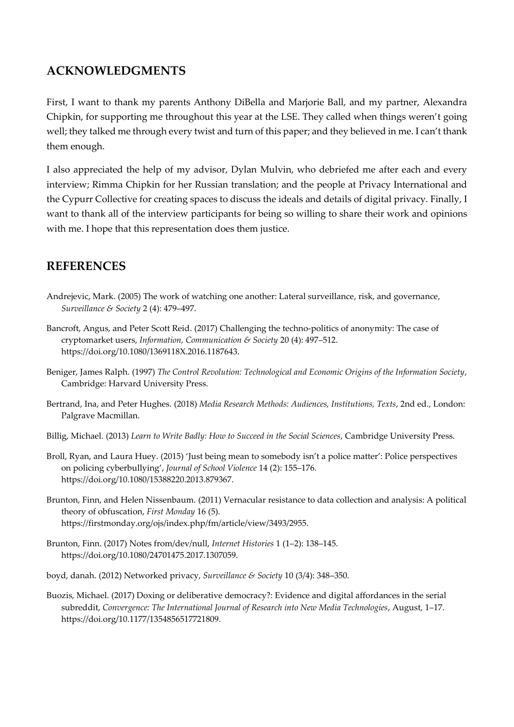#### **ACKNOWLEDGMENTS**

First, I want to thank my parents Anthony DiBella and Marjorie Ball, and my partner, Alexandra Chipkin, for supporting me throughout this year at the LSE. They called when things weren't going well; they talked me through every twist and turn of this paper; and they believed in me. I can't thank them enough.

I also appreciated the help of my advisor, Dylan Mulvin, who debriefed me after each and every interview; Rimma Chipkin for her Russian translation; and the people at Privacy International and the Cypurr Collective for creating spaces to discuss the ideals and details of digital privacy. Finally, I want to thank all of the interview participants for being so willing to share their work and opinions with me. I hope that this representation does them justice.

#### **REFERENCES**

- Andrejevic, Mark. (2005) The work of watching one another: Lateral surveillance, risk, and governance, *Surveillance & Society* 2 (4): 479–497.
- Bancroft, Angus, and Peter Scott Reid. (2017) Challenging the techno-politics of anonymity: The case of cryptomarket users, *Information, Communication & Society* 20 (4): 497–512. https://doi.org/10.1080/1369118X.2016.1187643.
- Beniger, James Ralph. (1997) *The Control Revolution: Technological and Economic Origins of the Information Society*, Cambridge: Harvard University Press.
- Bertrand, Ina, and Peter Hughes. (2018) *Media Research Methods: Audiences, Institutions, Texts*, 2nd ed., London: Palgrave Macmillan.
- Billig, Michael. (2013) *Learn to Write Badly: How to Succeed in the Social Sciences*, Cambridge University Press.
- Broll, Ryan, and Laura Huey. (2015) 'Just being mean to somebody isn't a police matter': Police perspectives on policing cyberbullying', *Journal of School Violence* 14 (2): 155–176. https://doi.org/10.1080/15388220.2013.879367.
- Brunton, Finn, and Helen Nissenbaum. (2011) Vernacular resistance to data collection and analysis: A political theory of obfuscation, *First Monday* 16 (5). https://firstmonday.org/ojs/index.php/fm/article/view/3493/2955.
- Brunton, Finn. (2017) Notes from/dev/null, *Internet Histories* 1 (1–2): 138–145. https://doi.org/10.1080/24701475.2017.1307059.
- boyd, danah. (2012) Networked privacy, *Surveillance & Society* 10 (3/4): 348–350.
- Buozis, Michael. (2017) Doxing or deliberative democracy?: Evidence and digital affordances in the serial subreddit, *Convergence: The International Journal of Research into New Media Technologies*, August, 1–17. https://doi.org/10.1177/1354856517721809.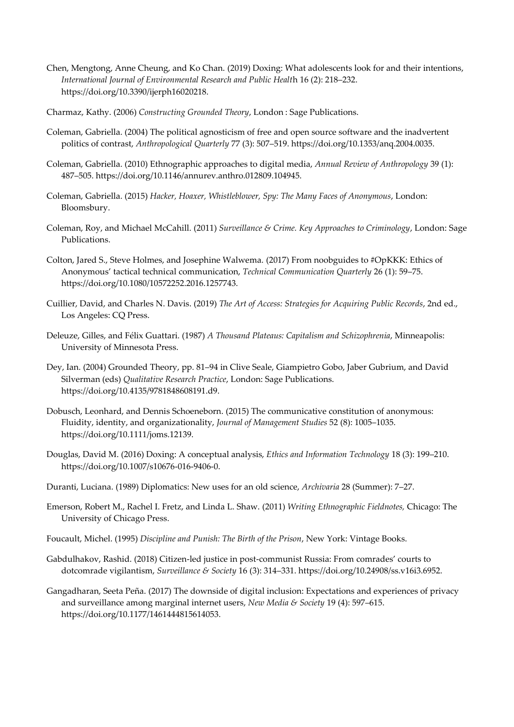- Chen, Mengtong, Anne Cheung, and Ko Chan. (2019) Doxing: What adolescents look for and their intentions, *International Journal of Environmental Research and Public Healt*h 16 (2): 218–232. https://doi.org/10.3390/ijerph16020218.
- Charmaz, Kathy. (2006) *Constructing Grounded Theory*, London : Sage Publications.
- Coleman, Gabriella. (2004) The political agnosticism of free and open source software and the inadvertent politics of contrast, *Anthropological Quarterly* 77 (3): 507–519. https://doi.org/10.1353/anq.2004.0035.
- Coleman, Gabriella. (2010) Ethnographic approaches to digital media, *Annual Review of Anthropology* 39 (1): 487–505. https://doi.org/10.1146/annurev.anthro.012809.104945.
- Coleman, Gabriella. (2015) *Hacker, Hoaxer, Whistleblower, Spy: The Many Faces of Anonymous*, London: Bloomsbury.
- Coleman, Roy, and Michael McCahill. (2011) *Surveillance & Crime. Key Approaches to Criminology*, London: Sage Publications.
- Colton, Jared S., Steve Holmes, and Josephine Walwema. (2017) From noobguides to #OpKKK: Ethics of Anonymous' tactical technical communication, *Technical Communication Quarterly* 26 (1): 59–75. https://doi.org/10.1080/10572252.2016.1257743.
- Cuillier, David, and Charles N. Davis. (2019) *The Art of Access: Strategies for Acquiring Public Records*, 2nd ed., Los Angeles: CQ Press.
- Deleuze, Gilles, and Félix Guattari. (1987) *A Thousand Plateaus: Capitalism and Schizophrenia*, Minneapolis: University of Minnesota Press.
- Dey, Ian. (2004) Grounded Theory, pp. 81–94 in Clive Seale, Giampietro Gobo, Jaber Gubrium, and David Silverman (eds) *Qualitative Research Practice*, London: Sage Publications. https://doi.org/10.4135/9781848608191.d9.
- Dobusch, Leonhard, and Dennis Schoeneborn. (2015) The communicative constitution of anonymous: Fluidity, identity, and organizationality, *Journal of Management Studies* 52 (8): 1005–1035. https://doi.org/10.1111/joms.12139.
- Douglas, David M. (2016) Doxing: A conceptual analysis, *Ethics and Information Technology* 18 (3): 199–210. https://doi.org/10.1007/s10676-016-9406-0.
- Duranti, Luciana. (1989) Diplomatics: New uses for an old science, *Archivaria* 28 (Summer): 7–27.
- Emerson, Robert M., Rachel I. Fretz, and Linda L. Shaw. (2011) *Writing Ethnographic Fieldnotes,* Chicago: The University of Chicago Press.
- Foucault, Michel. (1995) *Discipline and Punish: The Birth of the Prison*, New York: Vintage Books.
- Gabdulhakov, Rashid. (2018) Citizen-led justice in post-communist Russia: From comrades' courts to dotcomrade vigilantism, *Surveillance & Society* 16 (3): 314–331. https://doi.org/10.24908/ss.v16i3.6952.
- Gangadharan, Seeta Peña. (2017) The downside of digital inclusion: Expectations and experiences of privacy and surveillance among marginal internet users, *New Media & Society* 19 (4): 597–615. https://doi.org/10.1177/1461444815614053.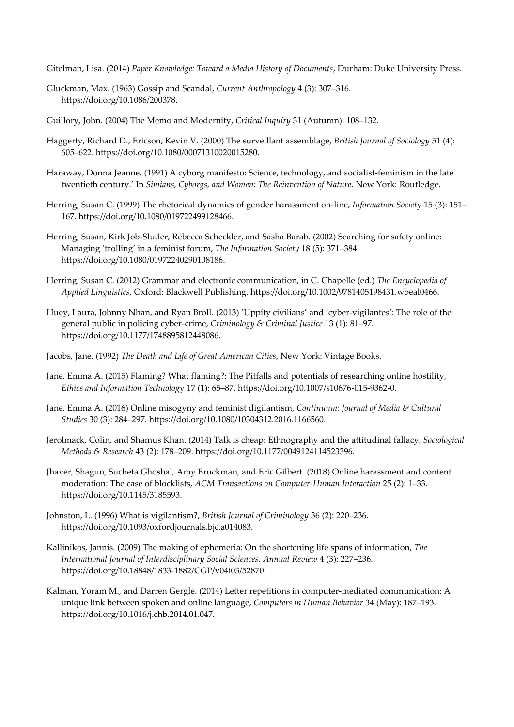Gitelman, Lisa. (2014) *Paper Knowledge: Toward a Media History of Documents*, Durham: Duke University Press.

- Gluckman, Max. (1963) Gossip and Scandal, *Current Anthropology* 4 (3): 307–316. https://doi.org/10.1086/200378.
- Guillory, John. (2004) The Memo and Modernity, *Critical Inquiry* 31 (Autumn): 108–132.
- Haggerty, Richard D., Ericson, Kevin V. (2000) The surveillant assemblage, *British Journal of Sociology* 51 (4): 605–622. https://doi.org/10.1080/00071310020015280.
- Haraway, Donna Jeanne. (1991) A cyborg manifesto: Science, technology, and socialist-feminism in the late twentieth century.' In *Simians, Cyborgs, and Women: The Reinvention of Nature*. New York: Routledge.
- Herring, Susan C. (1999) The rhetorical dynamics of gender harassment on-line, *Information Societ*y 15 (3): 151– 167. https://doi.org/10.1080/019722499128466.
- Herring, Susan, Kirk Job-Sluder, Rebecca Scheckler, and Sasha Barab. (2002) Searching for safety online: Managing 'trolling' in a feminist forum, *The Information Society* 18 (5): 371–384. https://doi.org/10.1080/01972240290108186.
- Herring, Susan C. (2012) Grammar and electronic communication, in C. Chapelle (ed.) *The Encyclopedia of Applied Linguistics*, Oxford: Blackwell Publishing. https://doi.org/10.1002/9781405198431.wbeal0466.
- Huey, Laura, Johnny Nhan, and Ryan Broll. (2013) 'Uppity civilians' and 'cyber-vigilantes': The role of the general public in policing cyber-crime, *Criminology & Criminal Justice* 13 (1): 81–97. https://doi.org/10.1177/1748895812448086.
- Jacobs, Jane. (1992) *The Death and Life of Great American Cities*, New York: Vintage Books.
- Jane, Emma A. (2015) Flaming? What flaming?: The Pitfalls and potentials of researching online hostility, *Ethics and Information Technolog*y 17 (1): 65–87. https://doi.org/10.1007/s10676-015-9362-0.
- Jane, Emma A. (2016) Online misogyny and feminist digilantism, *Continuum: Journal of Media & Cultural Studies* 30 (3): 284–297. https://doi.org/10.1080/10304312.2016.1166560.
- Jerolmack, Colin, and Shamus Khan. (2014) Talk is cheap: Ethnography and the attitudinal fallacy, *Sociological Methods & Research* 43 (2): 178–209. https://doi.org/10.1177/0049124114523396.
- Jhaver, Shagun, Sucheta Ghoshal, Amy Bruckman, and Eric Gilbert. (2018) Online harassment and content moderation: The case of blocklists, *ACM Transactions on Computer-Human Interaction* 25 (2): 1–33. https://doi.org/10.1145/3185593.
- Johnston, L. (1996) What is vigilantism?, *British Journal of Criminology* 36 (2): 220–236. https://doi.org/10.1093/oxfordjournals.bjc.a014083.
- Kallinikos, Jannis. (2009) The making of ephemeria: On the shortening life spans of information, *The International Journal of Interdisciplinary Social Sciences: Annual Review* 4 (3): 227–236. https://doi.org/10.18848/1833-1882/CGP/v04i03/52870.
- Kalman, Yoram M., and Darren Gergle. (2014) Letter repetitions in computer-mediated communication: A unique link between spoken and online language, *Computers in Human Behavior* 34 (May): 187–193. https://doi.org/10.1016/j.chb.2014.01.047.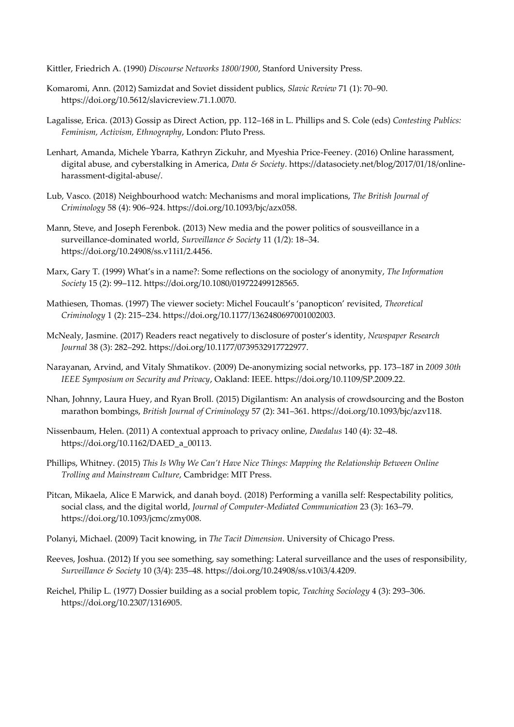Kittler, Friedrich A. (1990) *Discourse Networks 1800/1900*, Stanford University Press.

- Komaromi, Ann. (2012) Samizdat and Soviet dissident publics, *Slavic Review* 71 (1): 70–90. https://doi.org/10.5612/slavicreview.71.1.0070.
- Lagalisse, Erica. (2013) Gossip as Direct Action, pp. 112–168 in L. Phillips and S. Cole (eds) *Contesting Publics: Feminism, Activism, Ethnography*, London: Pluto Press.
- Lenhart, Amanda, Michele Ybarra, Kathryn Zickuhr, and Myeshia Price-Feeney. (2016) Online harassment, digital abuse, and cyberstalking in America, *Data & Society*. https://datasociety.net/blog/2017/01/18/onlineharassment-digital-abuse/.
- Lub, Vasco. (2018) Neighbourhood watch: Mechanisms and moral implications, *The British Journal of Criminology* 58 (4): 906–924. https://doi.org/10.1093/bjc/azx058.
- Mann, Steve, and Joseph Ferenbok. (2013) New media and the power politics of sousveillance in a surveillance-dominated world, *Surveillance & Society* 11 (1/2): 18–34. https://doi.org/10.24908/ss.v11i1/2.4456.
- Marx, Gary T. (1999) What's in a name?: Some reflections on the sociology of anonymity, *The Information Society* 15 (2): 99–112. https://doi.org/10.1080/019722499128565.
- Mathiesen, Thomas. (1997) The viewer society: Michel Foucault's 'panopticon' revisited, *Theoretical Criminology* 1 (2): 215–234. https://doi.org/10.1177/1362480697001002003.
- McNealy, Jasmine. (2017) Readers react negatively to disclosure of poster's identity, *Newspaper Research Journal* 38 (3): 282–292. https://doi.org/10.1177/0739532917722977.
- Narayanan, Arvind, and Vitaly Shmatikov. (2009) De-anonymizing social networks, pp. 173–187 in *2009 30th IEEE Symposium on Security and Privacy*, Oakland: IEEE. https://doi.org/10.1109/SP.2009.22.
- Nhan, Johnny, Laura Huey, and Ryan Broll. (2015) Digilantism: An analysis of crowdsourcing and the Boston marathon bombings, *British Journal of Criminology* 57 (2): 341–361. https://doi.org/10.1093/bjc/azv118.
- Nissenbaum, Helen. (2011) A contextual approach to privacy online, *Daedalus* 140 (4): 32–48. https://doi.org/10.1162/DAED\_a\_00113.
- Phillips, Whitney. (2015) *This Is Why We Can't Have Nice Things: Mapping the Relationship Between Online Trolling and Mainstream Culture*, Cambridge: MIT Press.
- Pitcan, Mikaela, Alice E Marwick, and danah boyd. (2018) Performing a vanilla self: Respectability politics, social class, and the digital world, *Journal of Computer-Mediated Communication* 23 (3): 163–79. https://doi.org/10.1093/jcmc/zmy008.
- Polanyi, Michael. (2009) Tacit knowing, in *The Tacit Dimension*. University of Chicago Press.
- Reeves, Joshua. (2012) If you see something, say something: Lateral surveillance and the uses of responsibility, *Surveillance & Society* 10 (3/4): 235–48. https://doi.org/10.24908/ss.v10i3/4.4209.
- Reichel, Philip L. (1977) Dossier building as a social problem topic, *Teaching Sociology* 4 (3): 293–306. https://doi.org/10.2307/1316905.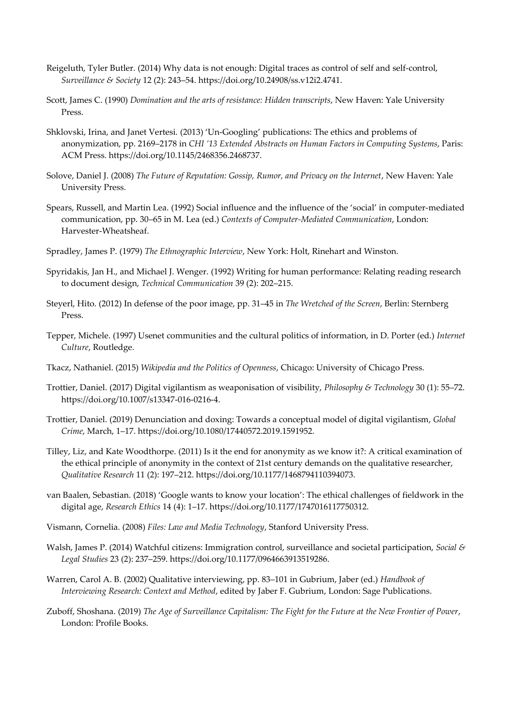- Reigeluth, Tyler Butler. (2014) Why data is not enough: Digital traces as control of self and self-control, *Surveillance & Society* 12 (2): 243–54. https://doi.org/10.24908/ss.v12i2.4741.
- Scott, James C. (1990) *Domination and the arts of resistance: Hidden transcripts*, New Haven: Yale University Press.
- Shklovski, Irina, and Janet Vertesi. (2013) 'Un-Googling' publications: The ethics and problems of anonymization, pp. 2169–2178 in *CHI '13 Extended Abstracts on Human Factors in Computing Systems*, Paris: ACM Press. https://doi.org/10.1145/2468356.2468737.
- Solove, Daniel J. (2008) *The Future of Reputation: Gossip, Rumor, and Privacy on the Internet*, New Haven: Yale University Press.
- Spears, Russell, and Martin Lea. (1992) Social influence and the influence of the 'social' in computer-mediated communication, pp. 30–65 in M. Lea (ed.) *Contexts of Computer-Mediated Communication*, London: Harvester-Wheatsheaf.
- Spradley, James P. (1979) *The Ethnographic Interview*, New York: Holt, Rinehart and Winston.
- Spyridakis, Jan H., and Michael J. Wenger. (1992) Writing for human performance: Relating reading research to document design, *Technical Communication* 39 (2): 202–215.
- Steyerl, Hito. (2012) In defense of the poor image, pp. 31–45 in *The Wretched of the Screen*, Berlin: Sternberg Press.
- Tepper, Michele. (1997) Usenet communities and the cultural politics of information, in D. Porter (ed.) *Internet Culture*, Routledge.
- Tkacz, Nathaniel. (2015) *Wikipedia and the Politics of Openness*, Chicago: University of Chicago Press.
- Trottier, Daniel. (2017) Digital vigilantism as weaponisation of visibility, *Philosophy & Technology* 30 (1): 55–72. https://doi.org/10.1007/s13347-016-0216-4.
- Trottier, Daniel. (2019) Denunciation and doxing: Towards a conceptual model of digital vigilantism, *Global Crime*, March, 1–17. https://doi.org/10.1080/17440572.2019.1591952.
- Tilley, Liz, and Kate Woodthorpe. (2011) Is it the end for anonymity as we know it?: A critical examination of the ethical principle of anonymity in the context of 21st century demands on the qualitative researcher, *Qualitative Research* 11 (2): 197–212. https://doi.org/10.1177/1468794110394073.
- van Baalen, Sebastian. (2018) 'Google wants to know your location': The ethical challenges of fieldwork in the digital age, *Research Ethics* 14 (4): 1–17. https://doi.org/10.1177/1747016117750312.
- Vismann, Cornelia. (2008) *Files: Law and Media Technology*, Stanford University Press.
- Walsh, James P. (2014) Watchful citizens: Immigration control, surveillance and societal participation, *Social & Legal Studies* 23 (2): 237–259. https://doi.org/10.1177/0964663913519286.
- Warren, Carol A. B. (2002) Qualitative interviewing, pp. 83–101 in Gubrium, Jaber (ed.) *Handbook of Interviewing Research: Context and Method*, edited by Jaber F. Gubrium, London: Sage Publications.
- Zuboff, Shoshana. (2019) *The Age of Surveillance Capitalism: The Fight for the Future at the New Frontier of Power*, London: Profile Books.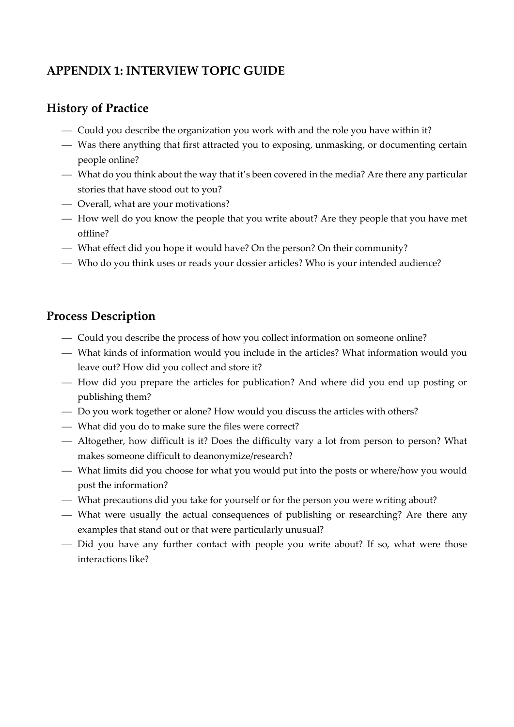## **APPENDIX 1: INTERVIEW TOPIC GUIDE**

## **History of Practice**

- Could you describe the organization you work with and the role you have within it?
- ⎯ Was there anything that first attracted you to exposing, unmasking, or documenting certain people online?
- What do you think about the way that it's been covered in the media? Are there any particular stories that have stood out to you?
- Overall, what are your motivations?
- How well do you know the people that you write about? Are they people that you have met offline?
- What effect did you hope it would have? On the person? On their community?
- ⎯ Who do you think uses or reads your dossier articles? Who is your intended audience?

#### **Process Description**

- ⎯ Could you describe the process of how you collect information on someone online?
- ⎯ What kinds of information would you include in the articles? What information would you leave out? How did you collect and store it?
- How did you prepare the articles for publication? And where did you end up posting or publishing them?
- ⎯ Do you work together or alone? How would you discuss the articles with others?
- ⎯ What did you do to make sure the files were correct?
- ⎯ Altogether, how difficult is it? Does the difficulty vary a lot from person to person? What makes someone difficult to deanonymize/research?
- ⎯ What limits did you choose for what you would put into the posts or where/how you would post the information?
- ⎯ What precautions did you take for yourself or for the person you were writing about?
- ⎯ What were usually the actual consequences of publishing or researching? Are there any examples that stand out or that were particularly unusual?
- Did you have any further contact with people you write about? If so, what were those interactions like?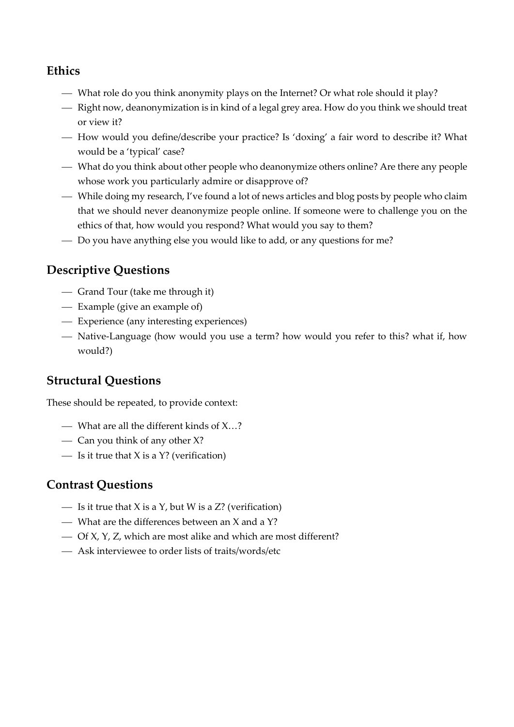#### **Ethics**

- What role do you think anonymity plays on the Internet? Or what role should it play?
- ⎯ Right now, deanonymization is in kind of a legal grey area. How do you think we should treat or view it?
- ⎯ How would you define/describe your practice? Is 'doxing' a fair word to describe it? What would be a 'typical' case?
- ⎯ What do you think about other people who deanonymize others online? Are there any people whose work you particularly admire or disapprove of?
- ⎯ While doing my research, I've found a lot of news articles and blog posts by people who claim that we should never deanonymize people online. If someone were to challenge you on the ethics of that, how would you respond? What would you say to them?
- Do you have anything else you would like to add, or any questions for me?

## **Descriptive Questions**

- ⎯ Grand Tour (take me through it)
- Example (give an example of)
- ⎯ Experience (any interesting experiences)
- Native-Language (how would you use a term? how would you refer to this? what if, how would?)

## **Structural Questions**

These should be repeated, to provide context:

- $\sim$  What are all the different kinds of X...?
- Can you think of any other X?
- $\overline{\phantom{a}}$  Is it true that X is a Y? (verification)

#### **Contrast Questions**

- $\overline{\phantom{I}}$  Is it true that X is a Y, but W is a Z? (verification)
- $-$  What are the differences between an X and a Y?
- ⎯ Of X, Y, Z, which are most alike and which are most different?
- ⎯ Ask interviewee to order lists of traits/words/etc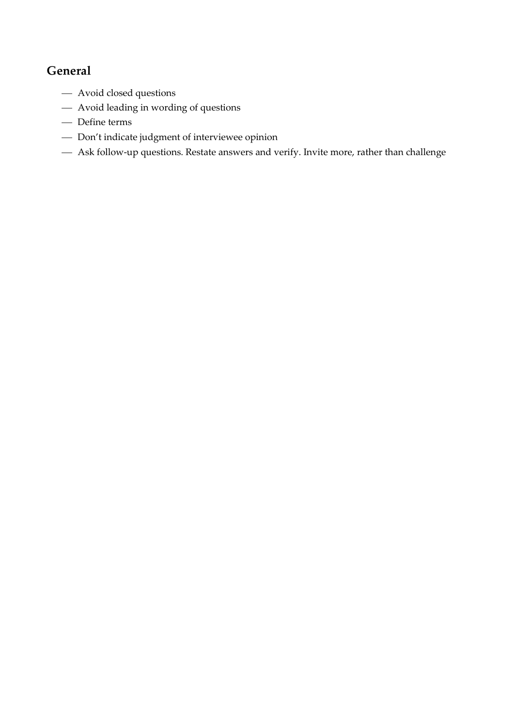## **General**

- Avoid closed questions
- Avoid leading in wording of questions
- Define terms
- Don't indicate judgment of interviewee opinion
- Ask follow-up questions. Restate answers and verify. Invite more, rather than challenge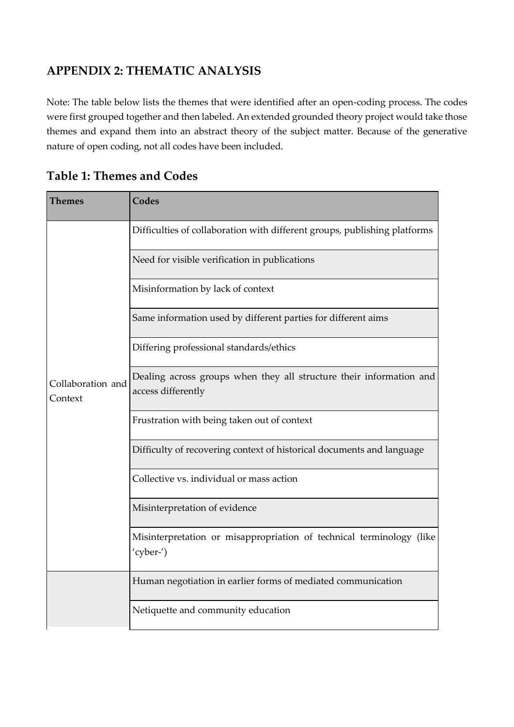## **APPENDIX 2: THEMATIC ANALYSIS**

Note: The table below lists the themes that were identified after an open-coding process. The codes were first grouped together and then labeled. An extended grounded theory project would take those themes and expand them into an abstract theory of the subject matter. Because of the generative nature of open coding, not all codes have been included.

| Themes                       | <b>Codes</b>                                                                              |
|------------------------------|-------------------------------------------------------------------------------------------|
| Collaboration and<br>Context | Difficulties of collaboration with different groups, publishing platforms                 |
|                              | Need for visible verification in publications                                             |
|                              | Misinformation by lack of context                                                         |
|                              | Same information used by different parties for different aims                             |
|                              | Differing professional standards/ethics                                                   |
|                              | Dealing across groups when they all structure their information and<br>access differently |
|                              | Frustration with being taken out of context                                               |
|                              | Difficulty of recovering context of historical documents and language                     |
|                              | Collective vs. individual or mass action                                                  |
|                              | Misinterpretation of evidence                                                             |
|                              | Misinterpretation or misappropriation of technical terminology (like<br>'cyber-')         |
|                              | Human negotiation in earlier forms of mediated communication                              |
|                              | Netiquette and community education                                                        |

#### **Table 1: Themes and Codes**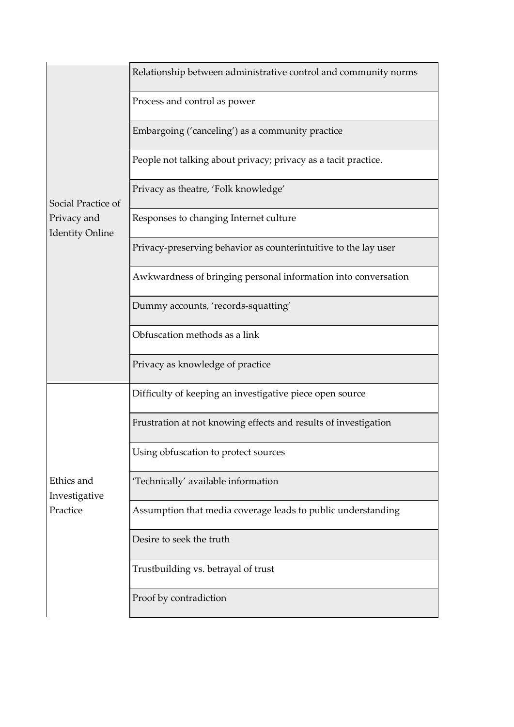| Social Practice of<br>Privacy and<br><b>Identity Online</b> | Relationship between administrative control and community norms |
|-------------------------------------------------------------|-----------------------------------------------------------------|
|                                                             | Process and control as power                                    |
|                                                             | Embargoing ('canceling') as a community practice                |
|                                                             | People not talking about privacy; privacy as a tacit practice.  |
|                                                             | Privacy as theatre, 'Folk knowledge'                            |
|                                                             | Responses to changing Internet culture                          |
|                                                             | Privacy-preserving behavior as counterintuitive to the lay user |
|                                                             | Awkwardness of bringing personal information into conversation  |
|                                                             | Dummy accounts, 'records-squatting'                             |
|                                                             | Obfuscation methods as a link                                   |
|                                                             | Privacy as knowledge of practice                                |
| Ethics and<br>Investigative<br>Practice                     | Difficulty of keeping an investigative piece open source        |
|                                                             | Frustration at not knowing effects and results of investigation |
|                                                             | Using obfuscation to protect sources                            |
|                                                             | 'Technically' available information                             |
|                                                             | Assumption that media coverage leads to public understanding    |
|                                                             | Desire to seek the truth                                        |
|                                                             | Trustbuilding vs. betrayal of trust                             |
|                                                             | Proof by contradiction                                          |